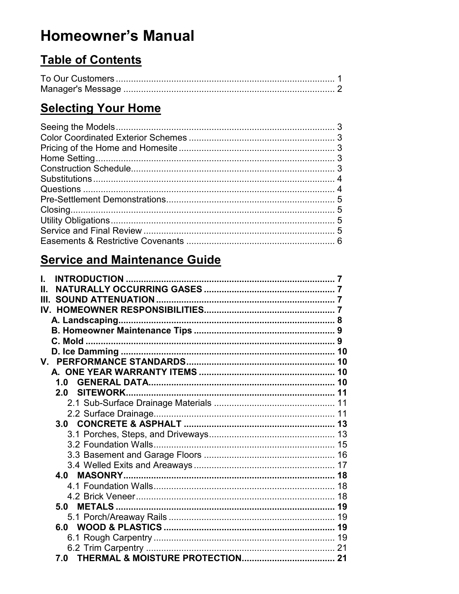# **Homeowner's Manual**

# **Table of Contents**

# **Selecting Your Home**

# **Service and Maintenance Guide**

| Н.                                            |    |
|-----------------------------------------------|----|
| Ш.                                            |    |
| IV.                                           |    |
|                                               |    |
|                                               |    |
|                                               |    |
|                                               | 10 |
|                                               | 10 |
|                                               | 10 |
| 1.0                                           | 10 |
| <b>SITEWORK.</b><br>2.0                       |    |
|                                               |    |
|                                               |    |
|                                               |    |
|                                               |    |
|                                               |    |
|                                               |    |
|                                               |    |
|                                               |    |
|                                               |    |
|                                               |    |
| 5.0 METALS ………………………………………………………………………………… 19 |    |
|                                               |    |
|                                               |    |
|                                               |    |
|                                               | 21 |
| 7.0                                           |    |
|                                               |    |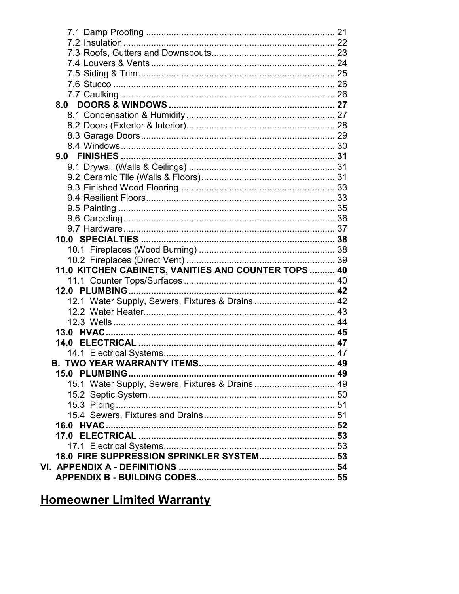| 8.0                                                  |  |
|------------------------------------------------------|--|
|                                                      |  |
|                                                      |  |
|                                                      |  |
|                                                      |  |
| 9.0                                                  |  |
|                                                      |  |
|                                                      |  |
|                                                      |  |
|                                                      |  |
|                                                      |  |
|                                                      |  |
|                                                      |  |
|                                                      |  |
|                                                      |  |
|                                                      |  |
| 11.0 KITCHEN CABINETS, VANITIES AND COUNTER TOPS  40 |  |
|                                                      |  |
|                                                      |  |
|                                                      |  |
| 12.1 Water Supply, Sewers, Fixtures & Drains 42      |  |
|                                                      |  |
|                                                      |  |
| 13.0 HVAC.                                           |  |
|                                                      |  |
|                                                      |  |
|                                                      |  |
| <b>15.0 PLUMBING</b>                                 |  |
| 15.1 Water Supply, Sewers, Fixtures & Drains 49      |  |
|                                                      |  |
|                                                      |  |
|                                                      |  |
|                                                      |  |
|                                                      |  |
|                                                      |  |
| 18.0 FIRE SUPPRESSION SPRINKLER SYSTEM 53            |  |
|                                                      |  |

# **Homeowner Limited Warranty**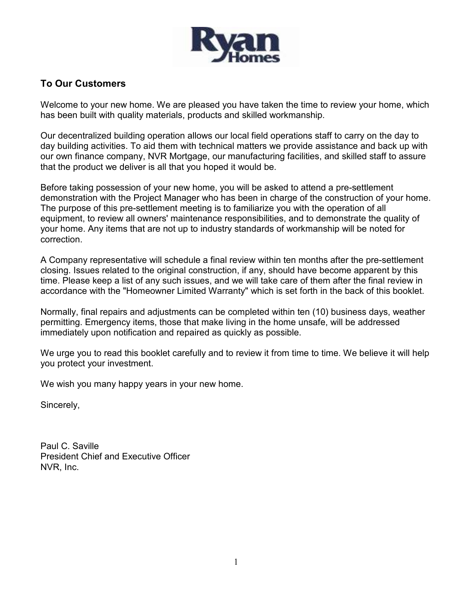

# To Our Customers

Welcome to your new home. We are pleased you have taken the time to review your home, which has been built with quality materials, products and skilled workmanship.

Our decentralized building operation allows our local field operations staff to carry on the day to day building activities. To aid them with technical matters we provide assistance and back up with our own finance company, NVR Mortgage, our manufacturing facilities, and skilled staff to assure that the product we deliver is all that you hoped it would be.

Before taking possession of your new home, you will be asked to attend a pre-settlement demonstration with the Project Manager who has been in charge of the construction of your home. The purpose of this pre-settlement meeting is to familiarize you with the operation of all equipment, to review all owners' maintenance responsibilities, and to demonstrate the quality of your home. Any items that are not up to industry standards of workmanship will be noted for correction.

A Company representative will schedule a final review within ten months after the pre-settlement closing. Issues related to the original construction, if any, should have become apparent by this time. Please keep a list of any such issues, and we will take care of them after the final review in accordance with the "Homeowner Limited Warranty" which is set forth in the back of this booklet.

Normally, final repairs and adjustments can be completed within ten (10) business days, weather permitting. Emergency items, those that make living in the home unsafe, will be addressed immediately upon notification and repaired as quickly as possible.

We urge you to read this booklet carefully and to review it from time to time. We believe it will help you protect your investment.

We wish you many happy years in your new home.

Sincerely,

Paul C. Saville President Chief and Executive Officer NVR, Inc.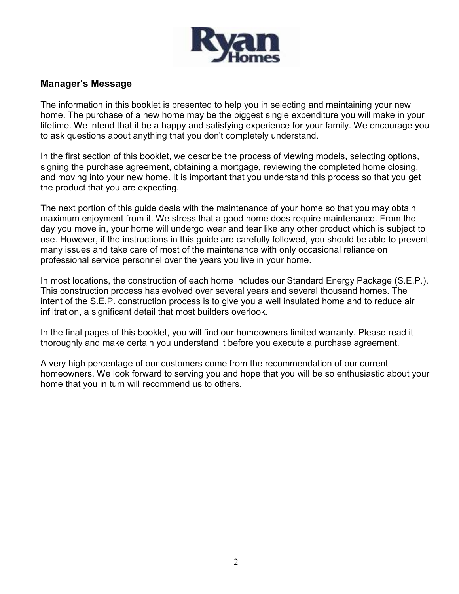

# Manager's Message

The information in this booklet is presented to help you in selecting and maintaining your new home. The purchase of a new home may be the biggest single expenditure you will make in your lifetime. We intend that it be a happy and satisfying experience for your family. We encourage you to ask questions about anything that you don't completely understand.

In the first section of this booklet, we describe the process of viewing models, selecting options, signing the purchase agreement, obtaining a mortgage, reviewing the completed home closing, and moving into your new home. It is important that you understand this process so that you get the product that you are expecting.

The next portion of this guide deals with the maintenance of your home so that you may obtain maximum enjoyment from it. We stress that a good home does require maintenance. From the day you move in, your home will undergo wear and tear like any other product which is subject to use. However, if the instructions in this guide are carefully followed, you should be able to prevent many issues and take care of most of the maintenance with only occasional reliance on professional service personnel over the years you live in your home.

In most locations, the construction of each home includes our Standard Energy Package (S.E.P.). This construction process has evolved over several years and several thousand homes. The intent of the S.E.P. construction process is to give you a well insulated home and to reduce air infiltration, a significant detail that most builders overlook.

In the final pages of this booklet, you will find our homeowners limited warranty. Please read it thoroughly and make certain you understand it before you execute a purchase agreement.

A very high percentage of our customers come from the recommendation of our current homeowners. We look forward to serving you and hope that you will be so enthusiastic about your home that you in turn will recommend us to others.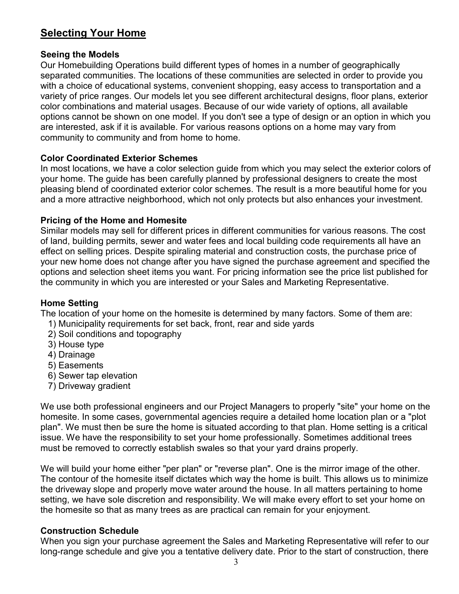# Selecting Your Home

# Seeing the Models

Our Homebuilding Operations build different types of homes in a number of geographically separated communities. The locations of these communities are selected in order to provide you with a choice of educational systems, convenient shopping, easy access to transportation and a variety of price ranges. Our models let you see different architectural designs, floor plans, exterior color combinations and material usages. Because of our wide variety of options, all available options cannot be shown on one model. If you don't see a type of design or an option in which you are interested, ask if it is available. For various reasons options on a home may vary from community to community and from home to home.

# Color Coordinated Exterior Schemes

In most locations, we have a color selection guide from which you may select the exterior colors of your home. The guide has been carefully planned by professional designers to create the most pleasing blend of coordinated exterior color schemes. The result is a more beautiful home for you and a more attractive neighborhood, which not only protects but also enhances your investment.

# Pricing of the Home and Homesite

Similar models may sell for different prices in different communities for various reasons. The cost of land, building permits, sewer and water fees and local building code requirements all have an effect on selling prices. Despite spiraling material and construction costs, the purchase price of your new home does not change after you have signed the purchase agreement and specified the options and selection sheet items you want. For pricing information see the price list published for the community in which you are interested or your Sales and Marketing Representative.

# Home Setting

The location of your home on the homesite is determined by many factors. Some of them are:

- 1) Municipality requirements for set back, front, rear and side yards
- 2) Soil conditions and topography
- 3) House type
- 4) Drainage
- 5) Easements
- 6) Sewer tap elevation
- 7) Driveway gradient

We use both professional engineers and our Project Managers to properly "site" your home on the homesite. In some cases, governmental agencies require a detailed home location plan or a "plot plan". We must then be sure the home is situated according to that plan. Home setting is a critical issue. We have the responsibility to set your home professionally. Sometimes additional trees must be removed to correctly establish swales so that your yard drains properly.

We will build your home either "per plan" or "reverse plan". One is the mirror image of the other. The contour of the homesite itself dictates which way the home is built. This allows us to minimize the driveway slope and properly move water around the house. In all matters pertaining to home setting, we have sole discretion and responsibility. We will make every effort to set your home on the homesite so that as many trees as are practical can remain for your enjoyment.

# Construction Schedule

When you sign your purchase agreement the Sales and Marketing Representative will refer to our long-range schedule and give you a tentative delivery date. Prior to the start of construction, there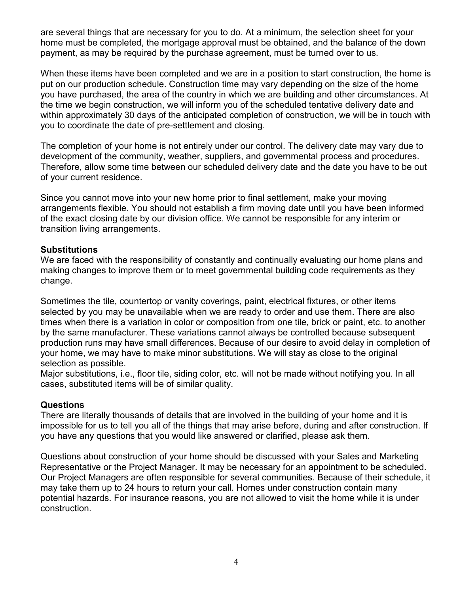are several things that are necessary for you to do. At a minimum, the selection sheet for your home must be completed, the mortgage approval must be obtained, and the balance of the down payment, as may be required by the purchase agreement, must be turned over to us.

When these items have been completed and we are in a position to start construction, the home is put on our production schedule. Construction time may vary depending on the size of the home you have purchased, the area of the country in which we are building and other circumstances. At the time we begin construction, we will inform you of the scheduled tentative delivery date and within approximately 30 days of the anticipated completion of construction, we will be in touch with you to coordinate the date of pre-settlement and closing.

The completion of your home is not entirely under our control. The delivery date may vary due to development of the community, weather, suppliers, and governmental process and procedures. Therefore, allow some time between our scheduled delivery date and the date you have to be out of your current residence.

Since you cannot move into your new home prior to final settlement, make your moving arrangements flexible. You should not establish a firm moving date until you have been informed of the exact closing date by our division office. We cannot be responsible for any interim or transition living arrangements.

# **Substitutions**

We are faced with the responsibility of constantly and continually evaluating our home plans and making changes to improve them or to meet governmental building code requirements as they change.

Sometimes the tile, countertop or vanity coverings, paint, electrical fixtures, or other items selected by you may be unavailable when we are ready to order and use them. There are also times when there is a variation in color or composition from one tile, brick or paint, etc. to another by the same manufacturer. These variations cannot always be controlled because subsequent production runs may have small differences. Because of our desire to avoid delay in completion of your home, we may have to make minor substitutions. We will stay as close to the original selection as possible.

Major substitutions, i.e., floor tile, siding color, etc. will not be made without notifying you. In all cases, substituted items will be of similar quality.

# Questions

There are literally thousands of details that are involved in the building of your home and it is impossible for us to tell you all of the things that may arise before, during and after construction. If you have any questions that you would like answered or clarified, please ask them.

Questions about construction of your home should be discussed with your Sales and Marketing Representative or the Project Manager. It may be necessary for an appointment to be scheduled. Our Project Managers are often responsible for several communities. Because of their schedule, it may take them up to 24 hours to return your call. Homes under construction contain many potential hazards. For insurance reasons, you are not allowed to visit the home while it is under construction.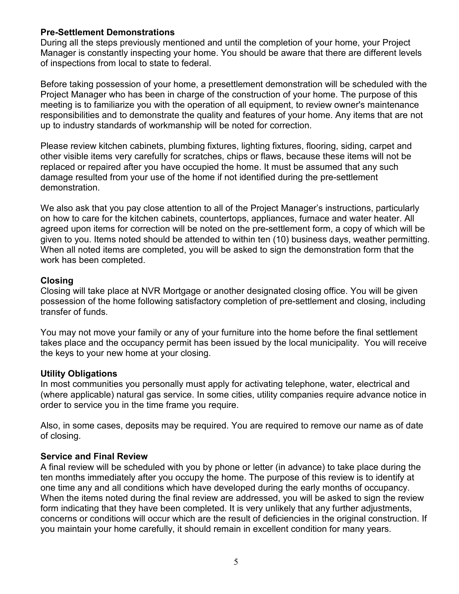# Pre-Settlement Demonstrations

During all the steps previously mentioned and until the completion of your home, your Project Manager is constantly inspecting your home. You should be aware that there are different levels of inspections from local to state to federal.

Before taking possession of your home, a presettlement demonstration will be scheduled with the Project Manager who has been in charge of the construction of your home. The purpose of this meeting is to familiarize you with the operation of all equipment, to review owner's maintenance responsibilities and to demonstrate the quality and features of your home. Any items that are not up to industry standards of workmanship will be noted for correction.

Please review kitchen cabinets, plumbing fixtures, lighting fixtures, flooring, siding, carpet and other visible items very carefully for scratches, chips or flaws, because these items will not be replaced or repaired after you have occupied the home. It must be assumed that any such damage resulted from your use of the home if not identified during the pre-settlement demonstration.

We also ask that you pay close attention to all of the Project Manager's instructions, particularly on how to care for the kitchen cabinets, countertops, appliances, furnace and water heater. All agreed upon items for correction will be noted on the pre-settlement form, a copy of which will be given to you. Items noted should be attended to within ten (10) business days, weather permitting. When all noted items are completed, you will be asked to sign the demonstration form that the work has been completed.

# Closing

Closing will take place at NVR Mortgage or another designated closing office. You will be given possession of the home following satisfactory completion of pre-settlement and closing, including transfer of funds.

You may not move your family or any of your furniture into the home before the final settlement takes place and the occupancy permit has been issued by the local municipality. You will receive the keys to your new home at your closing.

## Utility Obligations

In most communities you personally must apply for activating telephone, water, electrical and (where applicable) natural gas service. In some cities, utility companies require advance notice in order to service you in the time frame you require.

Also, in some cases, deposits may be required. You are required to remove our name as of date of closing.

# Service and Final Review

A final review will be scheduled with you by phone or letter (in advance) to take place during the ten months immediately after you occupy the home. The purpose of this review is to identify at one time any and all conditions which have developed during the early months of occupancy. When the items noted during the final review are addressed, you will be asked to sign the review form indicating that they have been completed. It is very unlikely that any further adjustments, concerns or conditions will occur which are the result of deficiencies in the original construction. If you maintain your home carefully, it should remain in excellent condition for many years.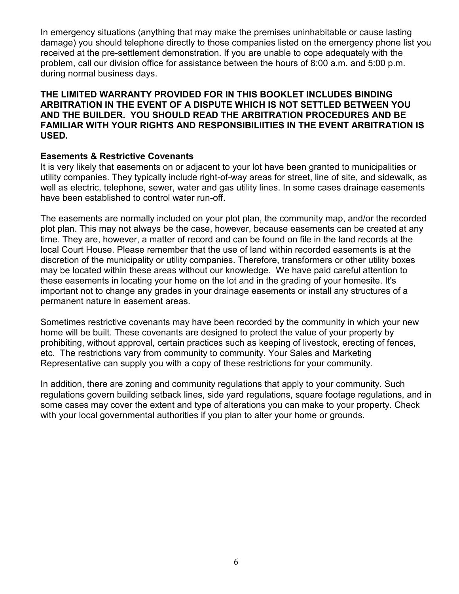In emergency situations (anything that may make the premises uninhabitable or cause lasting damage) you should telephone directly to those companies listed on the emergency phone list you received at the pre-settlement demonstration. If you are unable to cope adequately with the problem, call our division office for assistance between the hours of 8:00 a.m. and 5:00 p.m. during normal business days.

## THE LIMITED WARRANTY PROVIDED FOR IN THIS BOOKLET INCLUDES BINDING ARBITRATION IN THE EVENT OF A DISPUTE WHICH IS NOT SETTLED BETWEEN YOU AND THE BUILDER. YOU SHOULD READ THE ARBITRATION PROCEDURES AND BE FAMILIAR WITH YOUR RIGHTS AND RESPONSIBILIITIES IN THE EVENT ARBITRATION IS USED.

# Easements & Restrictive Covenants

It is very likely that easements on or adjacent to your lot have been granted to municipalities or utility companies. They typically include right-of-way areas for street, line of site, and sidewalk, as well as electric, telephone, sewer, water and gas utility lines. In some cases drainage easements have been established to control water run-off.

The easements are normally included on your plot plan, the community map, and/or the recorded plot plan. This may not always be the case, however, because easements can be created at any time. They are, however, a matter of record and can be found on file in the land records at the local Court House. Please remember that the use of land within recorded easements is at the discretion of the municipality or utility companies. Therefore, transformers or other utility boxes may be located within these areas without our knowledge. We have paid careful attention to these easements in locating your home on the lot and in the grading of your homesite. It's important not to change any grades in your drainage easements or install any structures of a permanent nature in easement areas.

Sometimes restrictive covenants may have been recorded by the community in which your new home will be built. These covenants are designed to protect the value of your property by prohibiting, without approval, certain practices such as keeping of livestock, erecting of fences, etc. The restrictions vary from community to community. Your Sales and Marketing Representative can supply you with a copy of these restrictions for your community.

In addition, there are zoning and community regulations that apply to your community. Such regulations govern building setback lines, side yard regulations, square footage regulations, and in some cases may cover the extent and type of alterations you can make to your property. Check with your local governmental authorities if you plan to alter your home or grounds.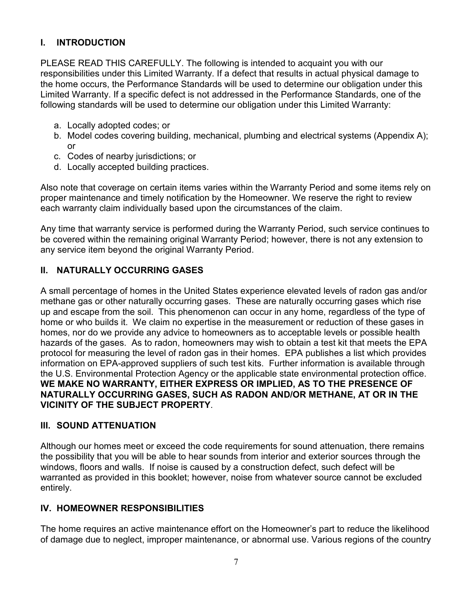# I. INTRODUCTION

PLEASE READ THIS CAREFULLY. The following is intended to acquaint you with our responsibilities under this Limited Warranty. If a defect that results in actual physical damage to the home occurs, the Performance Standards will be used to determine our obligation under this Limited Warranty. If a specific defect is not addressed in the Performance Standards, one of the following standards will be used to determine our obligation under this Limited Warranty:

- a. Locally adopted codes; or
- b. Model codes covering building, mechanical, plumbing and electrical systems (Appendix A); or
- c. Codes of nearby jurisdictions; or
- d. Locally accepted building practices.

Also note that coverage on certain items varies within the Warranty Period and some items rely on proper maintenance and timely notification by the Homeowner. We reserve the right to review each warranty claim individually based upon the circumstances of the claim.

Any time that warranty service is performed during the Warranty Period, such service continues to be covered within the remaining original Warranty Period; however, there is not any extension to any service item beyond the original Warranty Period.

# II. NATURALLY OCCURRING GASES

A small percentage of homes in the United States experience elevated levels of radon gas and/or methane gas or other naturally occurring gases. These are naturally occurring gases which rise up and escape from the soil. This phenomenon can occur in any home, regardless of the type of home or who builds it. We claim no expertise in the measurement or reduction of these gases in homes, nor do we provide any advice to homeowners as to acceptable levels or possible health hazards of the gases. As to radon, homeowners may wish to obtain a test kit that meets the EPA protocol for measuring the level of radon gas in their homes. EPA publishes a list which provides information on EPA-approved suppliers of such test kits. Further information is available through the U.S. Environmental Protection Agency or the applicable state environmental protection office. WE MAKE NO WARRANTY, EITHER EXPRESS OR IMPLIED, AS TO THE PRESENCE OF NATURALLY OCCURRING GASES, SUCH AS RADON AND/OR METHANE, AT OR IN THE VICINITY OF THE SUBJECT PROPERTY.

## III. SOUND ATTENUATION

Although our homes meet or exceed the code requirements for sound attenuation, there remains the possibility that you will be able to hear sounds from interior and exterior sources through the windows, floors and walls. If noise is caused by a construction defect, such defect will be warranted as provided in this booklet; however, noise from whatever source cannot be excluded entirely.

# IV. HOMEOWNER RESPONSIBILITIES

The home requires an active maintenance effort on the Homeowner's part to reduce the likelihood of damage due to neglect, improper maintenance, or abnormal use. Various regions of the country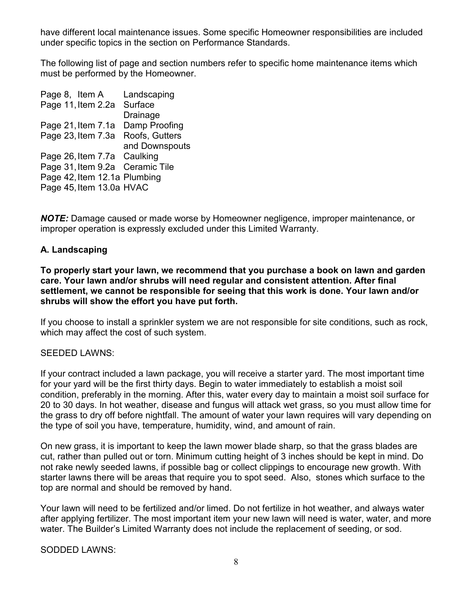have different local maintenance issues. Some specific Homeowner responsibilities are included under specific topics in the section on Performance Standards.

The following list of page and section numbers refer to specific home maintenance items which must be performed by the Homeowner.

Page 8, Item A Landscaping Page 11, Item 2.2a Surface Drainage Page 21, Item 7.1a Damp Proofing Page 23, Item 7.3a Roofs, Gutters and Downspouts Page 26, Item 7.7a Caulking Page 31,Item 9.2a Ceramic Tile Page 42, Item 12.1a Plumbing Page 45, Item 13.0a HVAC

NOTE: Damage caused or made worse by Homeowner negligence, improper maintenance, or improper operation is expressly excluded under this Limited Warranty.

# A. Landscaping

To properly start your lawn, we recommend that you purchase a book on lawn and garden care. Your lawn and/or shrubs will need regular and consistent attention. After final settlement, we cannot be responsible for seeing that this work is done. Your lawn and/or shrubs will show the effort you have put forth.

If you choose to install a sprinkler system we are not responsible for site conditions, such as rock, which may affect the cost of such system.

## SEEDED LAWNS:

If your contract included a lawn package, you will receive a starter yard. The most important time for your yard will be the first thirty days. Begin to water immediately to establish a moist soil condition, preferably in the morning. After this, water every day to maintain a moist soil surface for 20 to 30 days. In hot weather, disease and fungus will attack wet grass, so you must allow time for the grass to dry off before nightfall. The amount of water your lawn requires will vary depending on the type of soil you have, temperature, humidity, wind, and amount of rain.

On new grass, it is important to keep the lawn mower blade sharp, so that the grass blades are cut, rather than pulled out or torn. Minimum cutting height of 3 inches should be kept in mind. Do not rake newly seeded lawns, if possible bag or collect clippings to encourage new growth. With starter lawns there will be areas that require you to spot seed. Also, stones which surface to the top are normal and should be removed by hand.

Your lawn will need to be fertilized and/or limed. Do not fertilize in hot weather, and always water after applying fertilizer. The most important item your new lawn will need is water, water, and more water. The Builder's Limited Warranty does not include the replacement of seeding, or sod.

SODDED LAWNS: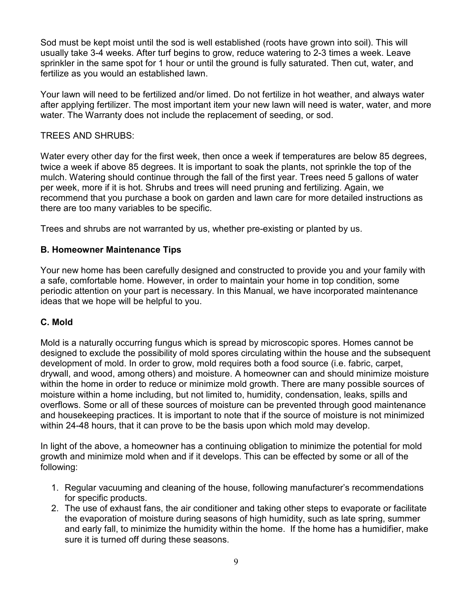Sod must be kept moist until the sod is well established (roots have grown into soil). This will usually take 3-4 weeks. After turf begins to grow, reduce watering to 2-3 times a week. Leave sprinkler in the same spot for 1 hour or until the ground is fully saturated. Then cut, water, and fertilize as you would an established lawn.

Your lawn will need to be fertilized and/or limed. Do not fertilize in hot weather, and always water after applying fertilizer. The most important item your new lawn will need is water, water, and more water. The Warranty does not include the replacement of seeding, or sod.

# TREES AND SHRUBS:

Water every other day for the first week, then once a week if temperatures are below 85 degrees, twice a week if above 85 degrees. It is important to soak the plants, not sprinkle the top of the mulch. Watering should continue through the fall of the first year. Trees need 5 gallons of water per week, more if it is hot. Shrubs and trees will need pruning and fertilizing. Again, we recommend that you purchase a book on garden and lawn care for more detailed instructions as there are too many variables to be specific.

Trees and shrubs are not warranted by us, whether pre-existing or planted by us.

# B. Homeowner Maintenance Tips

Your new home has been carefully designed and constructed to provide you and your family with a safe, comfortable home. However, in order to maintain your home in top condition, some periodic attention on your part is necessary. In this Manual, we have incorporated maintenance ideas that we hope will be helpful to you.

# C. Mold

Mold is a naturally occurring fungus which is spread by microscopic spores. Homes cannot be designed to exclude the possibility of mold spores circulating within the house and the subsequent development of mold. In order to grow, mold requires both a food source (i.e. fabric, carpet, drywall, and wood, among others) and moisture. A homeowner can and should minimize moisture within the home in order to reduce or minimize mold growth. There are many possible sources of moisture within a home including, but not limited to, humidity, condensation, leaks, spills and overflows. Some or all of these sources of moisture can be prevented through good maintenance and housekeeping practices. It is important to note that if the source of moisture is not minimized within 24-48 hours, that it can prove to be the basis upon which mold may develop.

In light of the above, a homeowner has a continuing obligation to minimize the potential for mold growth and minimize mold when and if it develops. This can be effected by some or all of the following:

- 1. Regular vacuuming and cleaning of the house, following manufacturer's recommendations for specific products.
- 2. The use of exhaust fans, the air conditioner and taking other steps to evaporate or facilitate the evaporation of moisture during seasons of high humidity, such as late spring, summer and early fall, to minimize the humidity within the home. If the home has a humidifier, make sure it is turned off during these seasons.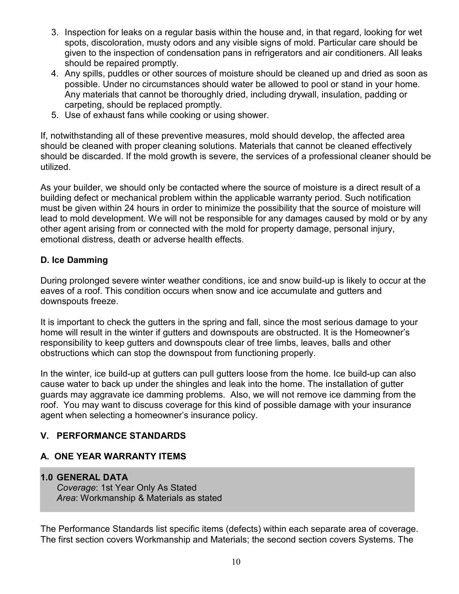- 3. Inspection for leaks on a regular basis within the house and, in that regard, looking for wet spots, discoloration, musty odors and any visible signs of mold. Particular care should be given to the inspection of condensation pans in refrigerators and air conditioners. All leaks should be repaired promptly.
- 4. Any spills, puddles or other sources of moisture should be cleaned up and dried as soon as possible. Under no circumstances should water be allowed to pool or stand in your home. Any materials that cannot be thoroughly dried, including drywall, insulation, padding or carpeting, should be replaced promptly.
- 5. Use of exhaust fans while cooking or using shower.

If, notwithstanding all of these preventive measures, mold should develop, the affected area should be cleaned with proper cleaning solutions. Materials that cannot be cleaned effectively should be discarded. If the mold growth is severe, the services of a professional cleaner should be utilized.

As your builder, we should only be contacted where the source of moisture is a direct result of a building defect or mechanical problem within the applicable warranty period. Such notification must be given within 24 hours in order to minimize the possibility that the source of moisture will lead to mold development. We will not be responsible for any damages caused by mold or by any other agent arising from or connected with the mold for property damage, personal injury, emotional distress, death or adverse health effects.

# D. Ice Damming

During prolonged severe winter weather conditions, ice and snow build-up is likely to occur at the eaves of a roof. This condition occurs when snow and ice accumulate and gutters and downspouts freeze.

It is important to check the gutters in the spring and fall, since the most serious damage to your home will result in the winter if gutters and downspouts are obstructed. It is the Homeowner's responsibility to keep gutters and downspouts clear of tree limbs, leaves, balls and other obstructions which can stop the downspout from functioning properly.

In the winter, ice build-up at gutters can pull gutters loose from the home. Ice build-up can also cause water to back up under the shingles and leak into the home. The installation of gutter guards may aggravate ice damming problems. Also, we will not remove ice damming from the roof. You may want to discuss coverage for this kind of possible damage with your insurance agent when selecting a homeowner's insurance policy.

# V. PERFORMANCE STANDARDS

# A. ONE YEAR WARRANTY ITEMS

## 1.0 GENERAL DATA

Coverage: 1st Year Only As Stated Area: Workmanship & Materials as stated

The Performance Standards list specific items (defects) within each separate area of coverage. The first section covers Workmanship and Materials; the second section covers Systems. The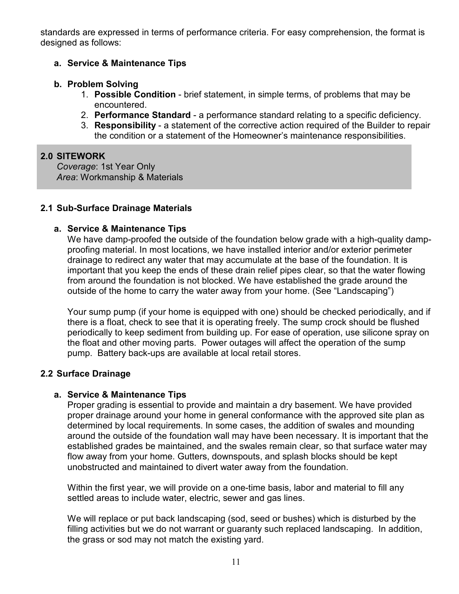standards are expressed in terms of performance criteria. For easy comprehension, the format is designed as follows:

# a. Service & Maintenance Tips

# b. Problem Solving

- 1. Possible Condition brief statement, in simple terms, of problems that may be encountered.
- 2. Performance Standard a performance standard relating to a specific deficiency.
- 3. Responsibility a statement of the corrective action required of the Builder to repair the condition or a statement of the Homeowner's maintenance responsibilities.

# 2.0 SITEWORK

Coverage: 1st Year Only Area: Workmanship & Materials

# 2.1 Sub-Surface Drainage Materials

# a. Service & Maintenance Tips

We have damp-proofed the outside of the foundation below grade with a high-quality dampproofing material. In most locations, we have installed interior and/or exterior perimeter drainage to redirect any water that may accumulate at the base of the foundation. It is important that you keep the ends of these drain relief pipes clear, so that the water flowing from around the foundation is not blocked. We have established the grade around the outside of the home to carry the water away from your home. (See "Landscaping")

Your sump pump (if your home is equipped with one) should be checked periodically, and if there is a float, check to see that it is operating freely. The sump crock should be flushed periodically to keep sediment from building up. For ease of operation, use silicone spray on the float and other moving parts. Power outages will affect the operation of the sump pump. Battery back-ups are available at local retail stores.

# 2.2 Surface Drainage

# a. Service & Maintenance Tips

Proper grading is essential to provide and maintain a dry basement. We have provided proper drainage around your home in general conformance with the approved site plan as determined by local requirements. In some cases, the addition of swales and mounding around the outside of the foundation wall may have been necessary. It is important that the established grades be maintained, and the swales remain clear, so that surface water may flow away from your home. Gutters, downspouts, and splash blocks should be kept unobstructed and maintained to divert water away from the foundation.

Within the first year, we will provide on a one-time basis, labor and material to fill any settled areas to include water, electric, sewer and gas lines.

We will replace or put back landscaping (sod, seed or bushes) which is disturbed by the filling activities but we do not warrant or guaranty such replaced landscaping. In addition, the grass or sod may not match the existing yard.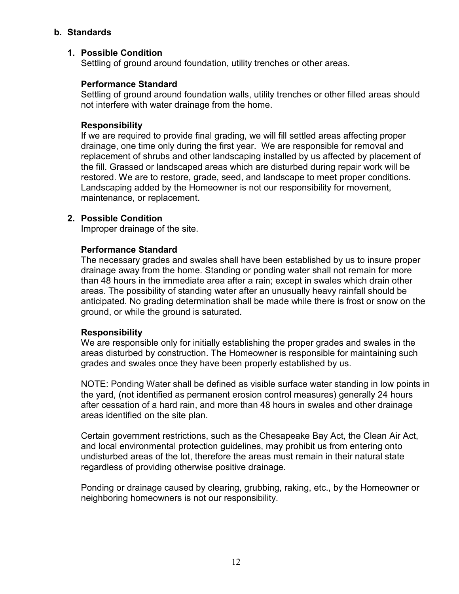# b. Standards

# 1. Possible Condition

Settling of ground around foundation, utility trenches or other areas.

# Performance Standard

Settling of ground around foundation walls, utility trenches or other filled areas should not interfere with water drainage from the home.

# Responsibility

If we are required to provide final grading, we will fill settled areas affecting proper drainage, one time only during the first year. We are responsible for removal and replacement of shrubs and other landscaping installed by us affected by placement of the fill. Grassed or landscaped areas which are disturbed during repair work will be restored. We are to restore, grade, seed, and landscape to meet proper conditions. Landscaping added by the Homeowner is not our responsibility for movement, maintenance, or replacement.

# 2. Possible Condition

Improper drainage of the site.

# Performance Standard

The necessary grades and swales shall have been established by us to insure proper drainage away from the home. Standing or ponding water shall not remain for more than 48 hours in the immediate area after a rain; except in swales which drain other areas. The possibility of standing water after an unusually heavy rainfall should be anticipated. No grading determination shall be made while there is frost or snow on the ground, or while the ground is saturated.

## Responsibility

We are responsible only for initially establishing the proper grades and swales in the areas disturbed by construction. The Homeowner is responsible for maintaining such grades and swales once they have been properly established by us.

NOTE: Ponding Water shall be defined as visible surface water standing in low points in the yard, (not identified as permanent erosion control measures) generally 24 hours after cessation of a hard rain, and more than 48 hours in swales and other drainage areas identified on the site plan.

Certain government restrictions, such as the Chesapeake Bay Act, the Clean Air Act, and local environmental protection guidelines, may prohibit us from entering onto undisturbed areas of the lot, therefore the areas must remain in their natural state regardless of providing otherwise positive drainage.

Ponding or drainage caused by clearing, grubbing, raking, etc., by the Homeowner or neighboring homeowners is not our responsibility.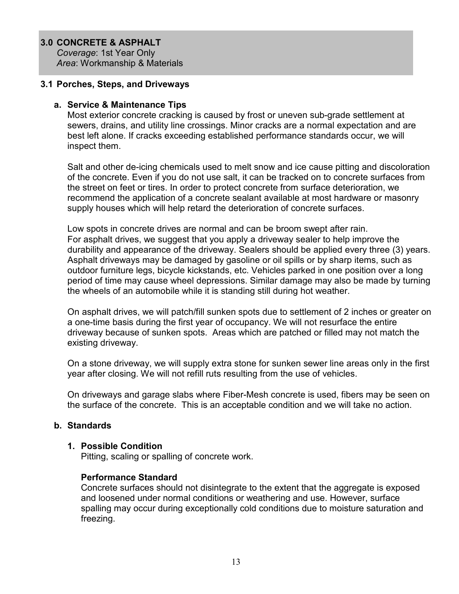#### 3.0 CONCRETE & ASPHALT

Coverage: 1st Year Only Area: Workmanship & Materials

#### 3.1 Porches, Steps, and Driveways

#### a. Service & Maintenance Tips

Most exterior concrete cracking is caused by frost or uneven sub-grade settlement at sewers, drains, and utility line crossings. Minor cracks are a normal expectation and are best left alone. If cracks exceeding established performance standards occur, we will inspect them.

Salt and other de-icing chemicals used to melt snow and ice cause pitting and discoloration of the concrete. Even if you do not use salt, it can be tracked on to concrete surfaces from the street on feet or tires. In order to protect concrete from surface deterioration, we recommend the application of a concrete sealant available at most hardware or masonry supply houses which will help retard the deterioration of concrete surfaces.

Low spots in concrete drives are normal and can be broom swept after rain. For asphalt drives, we suggest that you apply a driveway sealer to help improve the durability and appearance of the driveway. Sealers should be applied every three (3) years. Asphalt driveways may be damaged by gasoline or oil spills or by sharp items, such as outdoor furniture legs, bicycle kickstands, etc. Vehicles parked in one position over a long period of time may cause wheel depressions. Similar damage may also be made by turning the wheels of an automobile while it is standing still during hot weather.

On asphalt drives, we will patch/fill sunken spots due to settlement of 2 inches or greater on a one-time basis during the first year of occupancy. We will not resurface the entire driveway because of sunken spots. Areas which are patched or filled may not match the existing driveway.

On a stone driveway, we will supply extra stone for sunken sewer line areas only in the first year after closing. We will not refill ruts resulting from the use of vehicles.

On driveways and garage slabs where Fiber-Mesh concrete is used, fibers may be seen on the surface of the concrete. This is an acceptable condition and we will take no action.

## b. Standards

#### 1. Possible Condition

Pitting, scaling or spalling of concrete work.

## Performance Standard

Concrete surfaces should not disintegrate to the extent that the aggregate is exposed and loosened under normal conditions or weathering and use. However, surface spalling may occur during exceptionally cold conditions due to moisture saturation and freezing.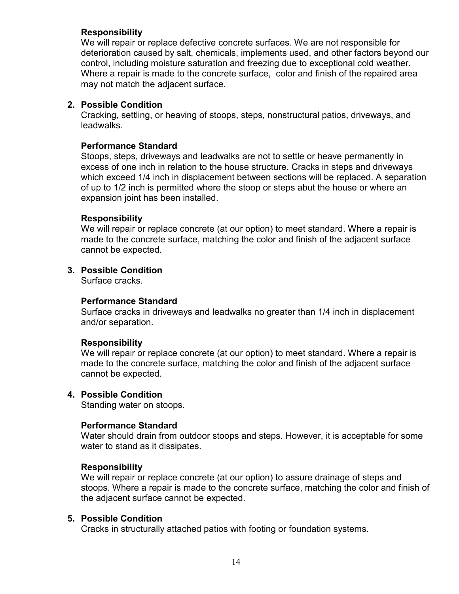## Responsibility

We will repair or replace defective concrete surfaces. We are not responsible for deterioration caused by salt, chemicals, implements used, and other factors beyond our control, including moisture saturation and freezing due to exceptional cold weather. Where a repair is made to the concrete surface, color and finish of the repaired area may not match the adjacent surface.

# 2. Possible Condition

Cracking, settling, or heaving of stoops, steps, nonstructural patios, driveways, and leadwalks.

# Performance Standard

Stoops, steps, driveways and leadwalks are not to settle or heave permanently in excess of one inch in relation to the house structure. Cracks in steps and driveways which exceed 1/4 inch in displacement between sections will be replaced. A separation of up to 1/2 inch is permitted where the stoop or steps abut the house or where an expansion joint has been installed.

# Responsibility

We will repair or replace concrete (at our option) to meet standard. Where a repair is made to the concrete surface, matching the color and finish of the adjacent surface cannot be expected.

# 3. Possible Condition

Surface cracks.

## Performance Standard

Surface cracks in driveways and leadwalks no greater than 1/4 inch in displacement and/or separation.

## Responsibility

We will repair or replace concrete (at our option) to meet standard. Where a repair is made to the concrete surface, matching the color and finish of the adjacent surface cannot be expected.

## 4. Possible Condition

Standing water on stoops.

## Performance Standard

Water should drain from outdoor stoops and steps. However, it is acceptable for some water to stand as it dissipates.

## Responsibility

We will repair or replace concrete (at our option) to assure drainage of steps and stoops. Where a repair is made to the concrete surface, matching the color and finish of the adjacent surface cannot be expected.

## 5. Possible Condition

Cracks in structurally attached patios with footing or foundation systems.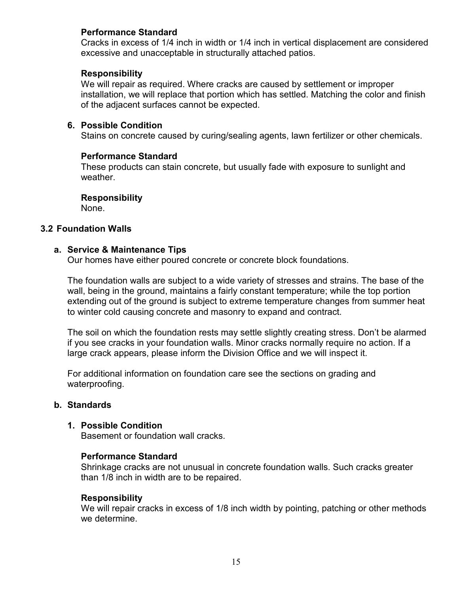# Performance Standard

Cracks in excess of 1/4 inch in width or 1/4 inch in vertical displacement are considered excessive and unacceptable in structurally attached patios.

## Responsibility

We will repair as required. Where cracks are caused by settlement or improper installation, we will replace that portion which has settled. Matching the color and finish of the adjacent surfaces cannot be expected.

#### 6. Possible Condition

Stains on concrete caused by curing/sealing agents, lawn fertilizer or other chemicals.

#### Performance Standard

These products can stain concrete, but usually fade with exposure to sunlight and weather.

#### Responsibility

None.

#### 3.2 Foundation Walls

#### a. Service & Maintenance Tips

Our homes have either poured concrete or concrete block foundations.

The foundation walls are subject to a wide variety of stresses and strains. The base of the wall, being in the ground, maintains a fairly constant temperature; while the top portion extending out of the ground is subject to extreme temperature changes from summer heat to winter cold causing concrete and masonry to expand and contract.

The soil on which the foundation rests may settle slightly creating stress. Don't be alarmed if you see cracks in your foundation walls. Minor cracks normally require no action. If a large crack appears, please inform the Division Office and we will inspect it.

For additional information on foundation care see the sections on grading and waterproofing.

#### b. Standards

#### 1. Possible Condition

Basement or foundation wall cracks.

## Performance Standard

Shrinkage cracks are not unusual in concrete foundation walls. Such cracks greater than 1/8 inch in width are to be repaired.

#### Responsibility

We will repair cracks in excess of 1/8 inch width by pointing, patching or other methods we determine.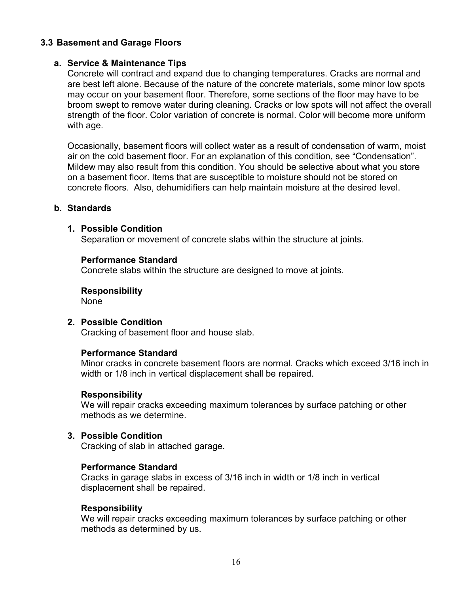# 3.3 Basement and Garage Floors

#### a. Service & Maintenance Tips

Concrete will contract and expand due to changing temperatures. Cracks are normal and are best left alone. Because of the nature of the concrete materials, some minor low spots may occur on your basement floor. Therefore, some sections of the floor may have to be broom swept to remove water during cleaning. Cracks or low spots will not affect the overall strength of the floor. Color variation of concrete is normal. Color will become more uniform with age.

Occasionally, basement floors will collect water as a result of condensation of warm, moist air on the cold basement floor. For an explanation of this condition, see "Condensation". Mildew may also result from this condition. You should be selective about what you store on a basement floor. Items that are susceptible to moisture should not be stored on concrete floors. Also, dehumidifiers can help maintain moisture at the desired level.

#### b. Standards

#### 1. Possible Condition

Separation or movement of concrete slabs within the structure at joints.

#### Performance Standard

Concrete slabs within the structure are designed to move at joints.

Responsibility None

## 2. Possible Condition

Cracking of basement floor and house slab.

#### Performance Standard

Minor cracks in concrete basement floors are normal. Cracks which exceed 3/16 inch in width or 1/8 inch in vertical displacement shall be repaired.

#### Responsibility

We will repair cracks exceeding maximum tolerances by surface patching or other methods as we determine.

#### 3. Possible Condition

Cracking of slab in attached garage.

#### Performance Standard

Cracks in garage slabs in excess of 3/16 inch in width or 1/8 inch in vertical displacement shall be repaired.

#### Responsibility

We will repair cracks exceeding maximum tolerances by surface patching or other methods as determined by us.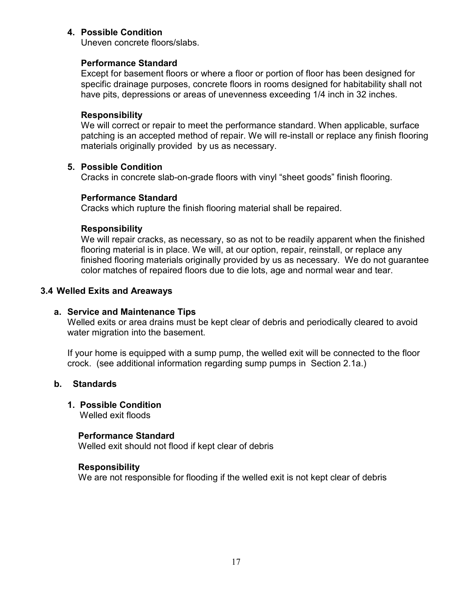## 4. Possible Condition

Uneven concrete floors/slabs.

# Performance Standard

Except for basement floors or where a floor or portion of floor has been designed for specific drainage purposes, concrete floors in rooms designed for habitability shall not have pits, depressions or areas of unevenness exceeding 1/4 inch in 32 inches.

# Responsibility

We will correct or repair to meet the performance standard. When applicable, surface patching is an accepted method of repair. We will re-install or replace any finish flooring materials originally provided by us as necessary.

# 5. Possible Condition

Cracks in concrete slab-on-grade floors with vinyl "sheet goods" finish flooring.

# Performance Standard

Cracks which rupture the finish flooring material shall be repaired.

# Responsibility

We will repair cracks, as necessary, so as not to be readily apparent when the finished flooring material is in place. We will, at our option, repair, reinstall, or replace any finished flooring materials originally provided by us as necessary. We do not guarantee color matches of repaired floors due to die lots, age and normal wear and tear.

## 3.4 Welled Exits and Areaways

# a. Service and Maintenance Tips

 Welled exits or area drains must be kept clear of debris and periodically cleared to avoid water migration into the basement.

 If your home is equipped with a sump pump, the welled exit will be connected to the floor crock. (see additional information regarding sump pumps in Section 2.1a.)

# b. Standards

# 1. Possible Condition

Welled exit floods

## Performance Standard

Welled exit should not flood if kept clear of debris

## Responsibility

We are not responsible for flooding if the welled exit is not kept clear of debris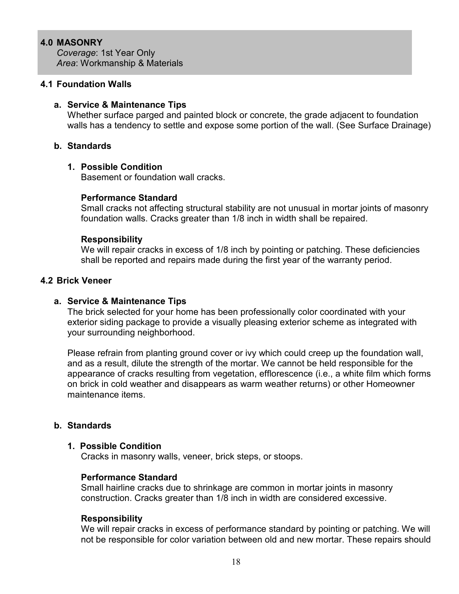## 4.0 MASONRY

Coverage: 1st Year Only Area: Workmanship & Materials

#### 4.1 Foundation Walls

#### a. Service & Maintenance Tips

Whether surface parged and painted block or concrete, the grade adjacent to foundation walls has a tendency to settle and expose some portion of the wall. (See Surface Drainage)

#### b. Standards

#### 1. Possible Condition

Basement or foundation wall cracks.

#### Performance Standard

Small cracks not affecting structural stability are not unusual in mortar joints of masonry foundation walls. Cracks greater than 1/8 inch in width shall be repaired.

#### Responsibility

We will repair cracks in excess of 1/8 inch by pointing or patching. These deficiencies shall be reported and repairs made during the first year of the warranty period.

#### 4.2 Brick Veneer

#### a. Service & Maintenance Tips

The brick selected for your home has been professionally color coordinated with your exterior siding package to provide a visually pleasing exterior scheme as integrated with your surrounding neighborhood.

Please refrain from planting ground cover or ivy which could creep up the foundation wall, and as a result, dilute the strength of the mortar. We cannot be held responsible for the appearance of cracks resulting from vegetation, efflorescence (i.e., a white film which forms on brick in cold weather and disappears as warm weather returns) or other Homeowner maintenance items.

#### b. Standards

#### 1. Possible Condition

Cracks in masonry walls, veneer, brick steps, or stoops.

#### Performance Standard

Small hairline cracks due to shrinkage are common in mortar joints in masonry construction. Cracks greater than 1/8 inch in width are considered excessive.

#### Responsibility

We will repair cracks in excess of performance standard by pointing or patching. We will not be responsible for color variation between old and new mortar. These repairs should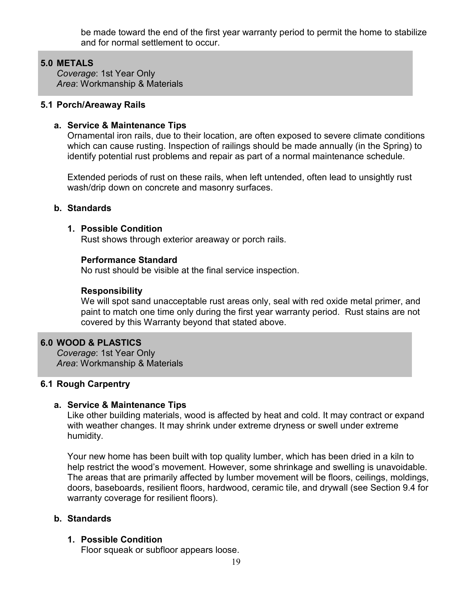be made toward the end of the first year warranty period to permit the home to stabilize and for normal settlement to occur.

# 5.0 METALS

Coverage: 1st Year Only Area: Workmanship & Materials

#### 5.1 Porch/Areaway Rails

# a. Service & Maintenance Tips

Ornamental iron rails, due to their location, are often exposed to severe climate conditions which can cause rusting. Inspection of railings should be made annually (in the Spring) to identify potential rust problems and repair as part of a normal maintenance schedule.

Extended periods of rust on these rails, when left untended, often lead to unsightly rust wash/drip down on concrete and masonry surfaces.

## b. Standards

## 1. Possible Condition

Rust shows through exterior areaway or porch rails.

## Performance Standard

No rust should be visible at the final service inspection.

## Responsibility

We will spot sand unacceptable rust areas only, seal with red oxide metal primer, and paint to match one time only during the first year warranty period. Rust stains are not covered by this Warranty beyond that stated above.

#### ł 6.0 WOOD & PLASTICS

Coverage: 1st Year Only Area: Workmanship & Materials

## 6.1 Rough Carpentry

## a. Service & Maintenance Tips

Like other building materials, wood is affected by heat and cold. It may contract or expand with weather changes. It may shrink under extreme dryness or swell under extreme humidity.

Your new home has been built with top quality lumber, which has been dried in a kiln to help restrict the wood's movement. However, some shrinkage and swelling is unavoidable. The areas that are primarily affected by lumber movement will be floors, ceilings, moldings, doors, baseboards, resilient floors, hardwood, ceramic tile, and drywall (see Section 9.4 for warranty coverage for resilient floors).

## b. Standards

## 1. Possible Condition

Floor squeak or subfloor appears loose.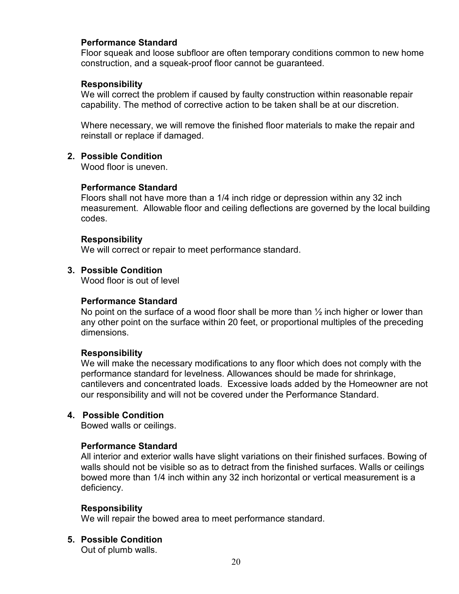## Performance Standard

Floor squeak and loose subfloor are often temporary conditions common to new home construction, and a squeak-proof floor cannot be guaranteed.

#### Responsibility

We will correct the problem if caused by faulty construction within reasonable repair capability. The method of corrective action to be taken shall be at our discretion.

Where necessary, we will remove the finished floor materials to make the repair and reinstall or replace if damaged.

#### 2. Possible Condition

Wood floor is uneven.

#### Performance Standard

Floors shall not have more than a 1/4 inch ridge or depression within any 32 inch measurement. Allowable floor and ceiling deflections are governed by the local building codes.

#### Responsibility

We will correct or repair to meet performance standard.

#### 3. Possible Condition

Wood floor is out of level

#### Performance Standard

No point on the surface of a wood floor shall be more than  $\frac{1}{2}$  inch higher or lower than any other point on the surface within 20 feet, or proportional multiples of the preceding dimensions.

#### Responsibility

We will make the necessary modifications to any floor which does not comply with the performance standard for levelness. Allowances should be made for shrinkage, cantilevers and concentrated loads. Excessive loads added by the Homeowner are not our responsibility and will not be covered under the Performance Standard.

#### 4. Possible Condition

Bowed walls or ceilings.

#### Performance Standard

All interior and exterior walls have slight variations on their finished surfaces. Bowing of walls should not be visible so as to detract from the finished surfaces. Walls or ceilings bowed more than 1/4 inch within any 32 inch horizontal or vertical measurement is a deficiency.

#### Responsibility

We will repair the bowed area to meet performance standard.

## 5. Possible Condition

Out of plumb walls.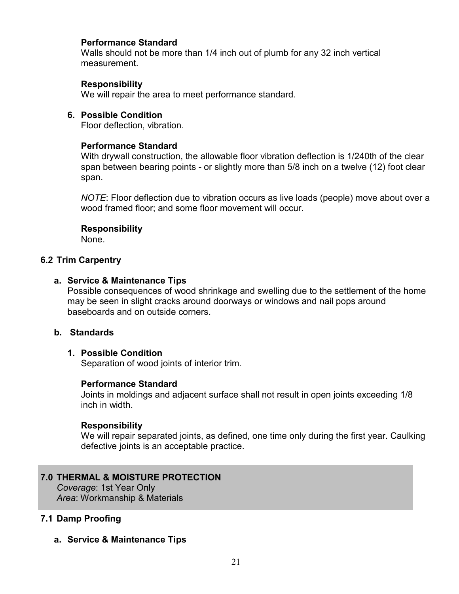## Performance Standard

Walls should not be more than 1/4 inch out of plumb for any 32 inch vertical measurement.

# Responsibility

We will repair the area to meet performance standard.

#### 6. Possible Condition

Floor deflection, vibration.

#### Performance Standard

With drywall construction, the allowable floor vibration deflection is 1/240th of the clear span between bearing points - or slightly more than 5/8 inch on a twelve (12) foot clear span.

NOTE: Floor deflection due to vibration occurs as live loads (people) move about over a wood framed floor; and some floor movement will occur.

#### Responsibility

None.

#### 6.2 Trim Carpentry

#### a. Service & Maintenance Tips

Possible consequences of wood shrinkage and swelling due to the settlement of the home may be seen in slight cracks around doorways or windows and nail pops around baseboards and on outside corners.

#### b. Standards

## 1. Possible Condition

Separation of wood joints of interior trim.

#### Performance Standard

Joints in moldings and adjacent surface shall not result in open joints exceeding 1/8 inch in width

#### **Responsibility**

We will repair separated joints, as defined, one time only during the first year. Caulking defective joints is an acceptable practice.

## 7.0 THERMAL & MOISTURE PROTECTION

Coverage: 1st Year Only Area: Workmanship & Materials

## 7.1 Damp Proofing

a. Service & Maintenance Tips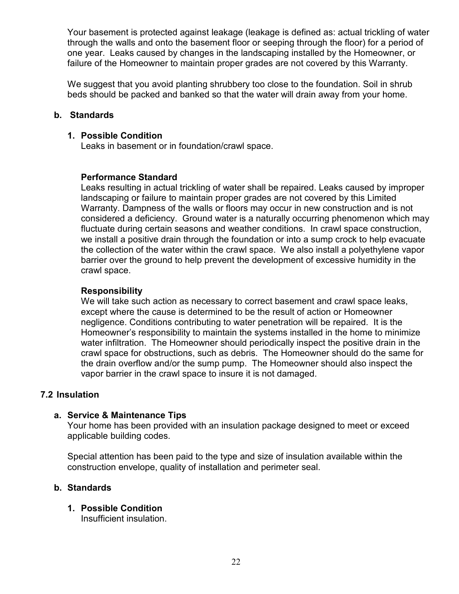Your basement is protected against leakage (leakage is defined as: actual trickling of water through the walls and onto the basement floor or seeping through the floor) for a period of one year. Leaks caused by changes in the landscaping installed by the Homeowner, or failure of the Homeowner to maintain proper grades are not covered by this Warranty.

We suggest that you avoid planting shrubbery too close to the foundation. Soil in shrub beds should be packed and banked so that the water will drain away from your home.

# b. Standards

## 1. Possible Condition

Leaks in basement or in foundation/crawl space.

# Performance Standard

Leaks resulting in actual trickling of water shall be repaired. Leaks caused by improper landscaping or failure to maintain proper grades are not covered by this Limited Warranty. Dampness of the walls or floors may occur in new construction and is not considered a deficiency. Ground water is a naturally occurring phenomenon which may fluctuate during certain seasons and weather conditions. In crawl space construction, we install a positive drain through the foundation or into a sump crock to help evacuate the collection of the water within the crawl space. We also install a polyethylene vapor barrier over the ground to help prevent the development of excessive humidity in the crawl space.

# Responsibility

We will take such action as necessary to correct basement and crawl space leaks, except where the cause is determined to be the result of action or Homeowner negligence. Conditions contributing to water penetration will be repaired. It is the Homeowner's responsibility to maintain the systems installed in the home to minimize water infiltration. The Homeowner should periodically inspect the positive drain in the crawl space for obstructions, such as debris. The Homeowner should do the same for the drain overflow and/or the sump pump. The Homeowner should also inspect the vapor barrier in the crawl space to insure it is not damaged.

## 7.2 Insulation

## a. Service & Maintenance Tips

Your home has been provided with an insulation package designed to meet or exceed applicable building codes.

Special attention has been paid to the type and size of insulation available within the construction envelope, quality of installation and perimeter seal.

# b. Standards

# 1. Possible Condition

Insufficient insulation.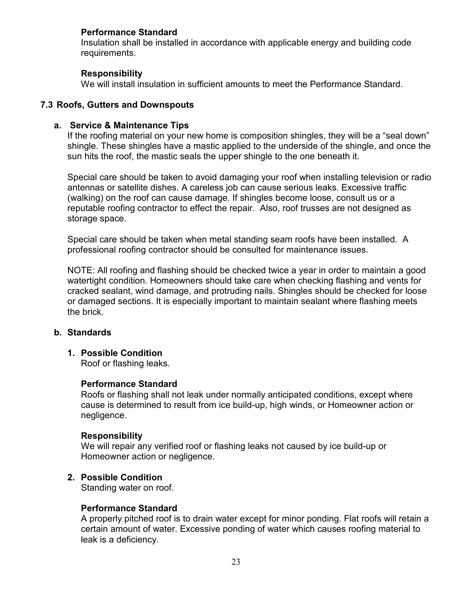# Performance Standard

Insulation shall be installed in accordance with applicable energy and building code requirements.

## Responsibility

We will install insulation in sufficient amounts to meet the Performance Standard.

# 7.3 Roofs, Gutters and Downspouts

#### a. Service & Maintenance Tips

If the roofing material on your new home is composition shingles, they will be a "seal down" shingle. These shingles have a mastic applied to the underside of the shingle, and once the sun hits the roof, the mastic seals the upper shingle to the one beneath it.

Special care should be taken to avoid damaging your roof when installing television or radio antennas or satellite dishes. A careless job can cause serious leaks. Excessive traffic (walking) on the roof can cause damage. If shingles become loose, consult us or a reputable roofing contractor to effect the repair. Also, roof trusses are not designed as storage space.

Special care should be taken when metal standing seam roofs have been installed. A professional roofing contractor should be consulted for maintenance issues.

NOTE: All roofing and flashing should be checked twice a year in order to maintain a good watertight condition. Homeowners should take care when checking flashing and vents for cracked sealant, wind damage, and protruding nails. Shingles should be checked for loose or damaged sections. It is especially important to maintain sealant where flashing meets the brick.

## b. Standards

## 1. Possible Condition

Roof or flashing leaks.

#### Performance Standard

Roofs or flashing shall not leak under normally anticipated conditions, except where cause is determined to result from ice build-up, high winds, or Homeowner action or negligence.

#### Responsibility

We will repair any verified roof or flashing leaks not caused by ice build-up or Homeowner action or negligence.

## 2. Possible Condition

Standing water on roof.

#### Performance Standard

A properly pitched roof is to drain water except for minor ponding. Flat roofs will retain a certain amount of water. Excessive ponding of water which causes roofing material to leak is a deficiency.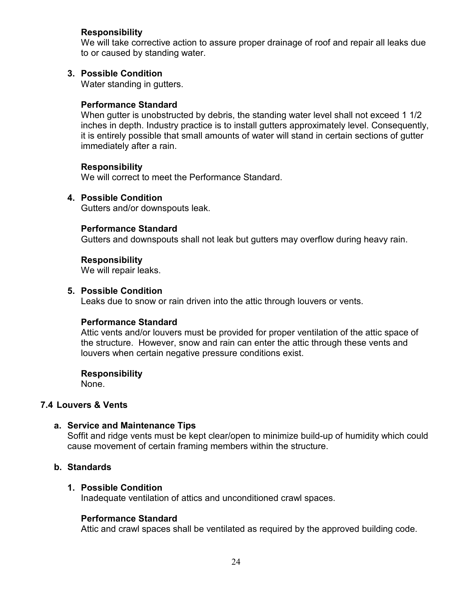## Responsibility

We will take corrective action to assure proper drainage of roof and repair all leaks due to or caused by standing water.

# 3. Possible Condition

Water standing in gutters.

## Performance Standard

When gutter is unobstructed by debris, the standing water level shall not exceed 1 1/2 inches in depth. Industry practice is to install gutters approximately level. Consequently, it is entirely possible that small amounts of water will stand in certain sections of gutter immediately after a rain.

## **Responsibility**

We will correct to meet the Performance Standard.

## 4. Possible Condition

Gutters and/or downspouts leak.

# Performance Standard

Gutters and downspouts shall not leak but gutters may overflow during heavy rain.

## Responsibility

We will repair leaks.

#### 5. Possible Condition

Leaks due to snow or rain driven into the attic through louvers or vents.

## Performance Standard

Attic vents and/or louvers must be provided for proper ventilation of the attic space of the structure. However, snow and rain can enter the attic through these vents and louvers when certain negative pressure conditions exist.

#### **Responsibility**

None.

# 7.4 Louvers & Vents

## a. Service and Maintenance Tips

Soffit and ridge vents must be kept clear/open to minimize build-up of humidity which could cause movement of certain framing members within the structure.

# b. Standards

## 1. Possible Condition

Inadequate ventilation of attics and unconditioned crawl spaces.

## Performance Standard

Attic and crawl spaces shall be ventilated as required by the approved building code.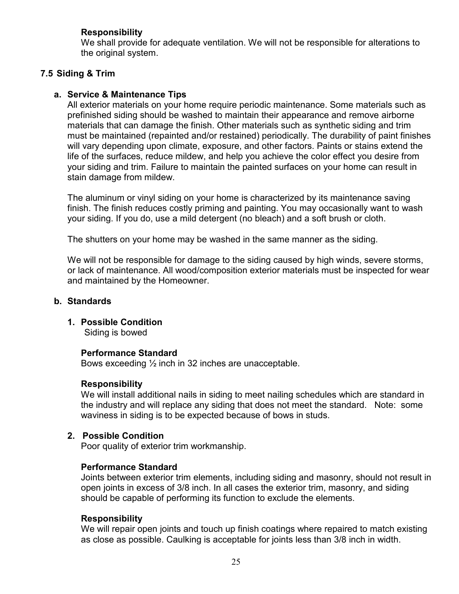# Responsibility

We shall provide for adequate ventilation. We will not be responsible for alterations to the original system.

# 7.5 Siding & Trim

# a. Service & Maintenance Tips

All exterior materials on your home require periodic maintenance. Some materials such as prefinished siding should be washed to maintain their appearance and remove airborne materials that can damage the finish. Other materials such as synthetic siding and trim must be maintained (repainted and/or restained) periodically. The durability of paint finishes will vary depending upon climate, exposure, and other factors. Paints or stains extend the life of the surfaces, reduce mildew, and help you achieve the color effect you desire from your siding and trim. Failure to maintain the painted surfaces on your home can result in stain damage from mildew.

The aluminum or vinyl siding on your home is characterized by its maintenance saving finish. The finish reduces costly priming and painting. You may occasionally want to wash your siding. If you do, use a mild detergent (no bleach) and a soft brush or cloth.

The shutters on your home may be washed in the same manner as the siding.

We will not be responsible for damage to the siding caused by high winds, severe storms, or lack of maintenance. All wood/composition exterior materials must be inspected for wear and maintained by the Homeowner.

#### b. Standards

1. Possible Condition Siding is bowed

#### Performance Standard

Bows exceeding ½ inch in 32 inches are unacceptable.

#### Responsibility

We will install additional nails in siding to meet nailing schedules which are standard in the industry and will replace any siding that does not meet the standard. Note: some waviness in siding is to be expected because of bows in studs.

## 2. Possible Condition

Poor quality of exterior trim workmanship.

#### Performance Standard

Joints between exterior trim elements, including siding and masonry, should not result in open joints in excess of 3/8 inch. In all cases the exterior trim, masonry, and siding should be capable of performing its function to exclude the elements.

#### Responsibility

We will repair open joints and touch up finish coatings where repaired to match existing as close as possible. Caulking is acceptable for joints less than 3/8 inch in width.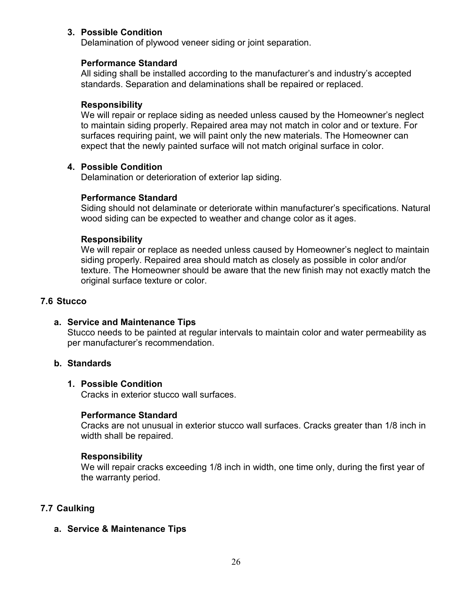# 3. Possible Condition

Delamination of plywood veneer siding or joint separation.

#### Performance Standard

All siding shall be installed according to the manufacturer's and industry's accepted standards. Separation and delaminations shall be repaired or replaced.

#### Responsibility

We will repair or replace siding as needed unless caused by the Homeowner's neglect to maintain siding properly. Repaired area may not match in color and or texture. For surfaces requiring paint, we will paint only the new materials. The Homeowner can expect that the newly painted surface will not match original surface in color.

#### 4. Possible Condition

Delamination or deterioration of exterior lap siding.

#### Performance Standard

Siding should not delaminate or deteriorate within manufacturer's specifications. Natural wood siding can be expected to weather and change color as it ages.

#### Responsibility

We will repair or replace as needed unless caused by Homeowner's neglect to maintain siding properly. Repaired area should match as closely as possible in color and/or texture. The Homeowner should be aware that the new finish may not exactly match the original surface texture or color.

#### 7.6 Stucco

a. Service and Maintenance Tips Stucco needs to be painted at regular intervals to maintain color and water permeability as per manufacturer's recommendation.

# b. Standards

#### 1. Possible Condition

Cracks in exterior stucco wall surfaces.

#### Performance Standard

Cracks are not unusual in exterior stucco wall surfaces. Cracks greater than 1/8 inch in width shall be repaired.

#### Responsibility

We will repair cracks exceeding 1/8 inch in width, one time only, during the first year of the warranty period.

## 7.7 Caulking

a. Service & Maintenance Tips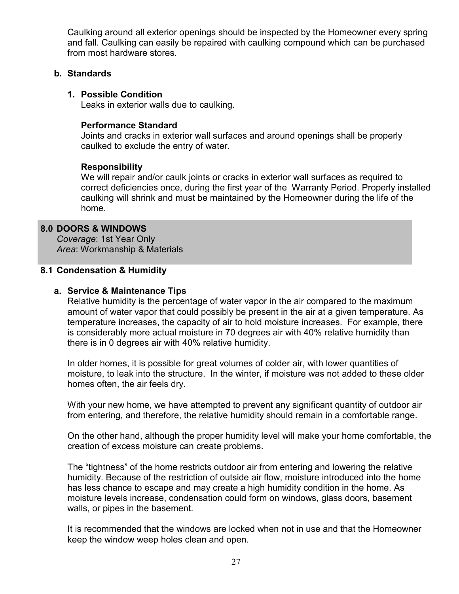Caulking around all exterior openings should be inspected by the Homeowner every spring and fall. Caulking can easily be repaired with caulking compound which can be purchased from most hardware stores.

#### b. Standards

## 1. Possible Condition

Leaks in exterior walls due to caulking.

## Performance Standard

Joints and cracks in exterior wall surfaces and around openings shall be properly caulked to exclude the entry of water.

# Responsibility

We will repair and/or caulk joints or cracks in exterior wall surfaces as required to correct deficiencies once, during the first year of the Warranty Period. Properly installed caulking will shrink and must be maintained by the Homeowner during the life of the home.

# 8.0 DOORS & WINDOWS

Coverage: 1st Year Only Area: Workmanship & Materials

## 8.1 Condensation & Humidity

# a. Service & Maintenance Tips

Relative humidity is the percentage of water vapor in the air compared to the maximum amount of water vapor that could possibly be present in the air at a given temperature. As temperature increases, the capacity of air to hold moisture increases. For example, there is considerably more actual moisture in 70 degrees air with 40% relative humidity than there is in 0 degrees air with 40% relative humidity.

In older homes, it is possible for great volumes of colder air, with lower quantities of moisture, to leak into the structure. In the winter, if moisture was not added to these older homes often, the air feels dry.

With your new home, we have attempted to prevent any significant quantity of outdoor air from entering, and therefore, the relative humidity should remain in a comfortable range.

On the other hand, although the proper humidity level will make your home comfortable, the creation of excess moisture can create problems.

The "tightness" of the home restricts outdoor air from entering and lowering the relative humidity. Because of the restriction of outside air flow, moisture introduced into the home has less chance to escape and may create a high humidity condition in the home. As moisture levels increase, condensation could form on windows, glass doors, basement walls, or pipes in the basement.

It is recommended that the windows are locked when not in use and that the Homeowner keep the window weep holes clean and open.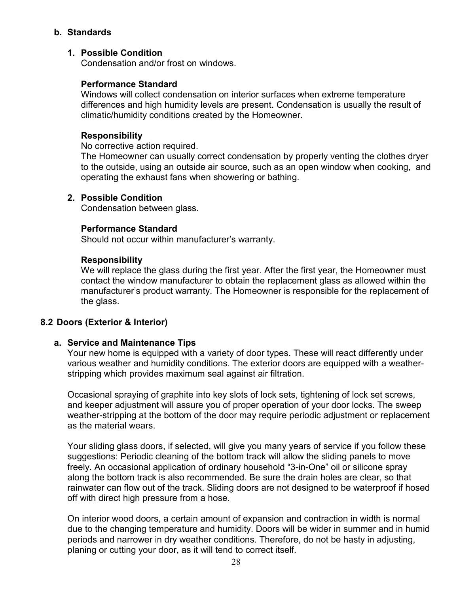## b. Standards

# 1. Possible Condition

Condensation and/or frost on windows.

# Performance Standard

Windows will collect condensation on interior surfaces when extreme temperature differences and high humidity levels are present. Condensation is usually the result of climatic/humidity conditions created by the Homeowner.

# **Responsibility**

No corrective action required.

The Homeowner can usually correct condensation by properly venting the clothes dryer to the outside, using an outside air source, such as an open window when cooking, and operating the exhaust fans when showering or bathing.

# 2. Possible Condition

Condensation between glass.

# Performance Standard

Should not occur within manufacturer's warranty.

## Responsibility

We will replace the glass during the first year. After the first year, the Homeowner must contact the window manufacturer to obtain the replacement glass as allowed within the manufacturer's product warranty. The Homeowner is responsible for the replacement of the glass.

## 8.2 Doors (Exterior & Interior)

## a. Service and Maintenance Tips

Your new home is equipped with a variety of door types. These will react differently under various weather and humidity conditions. The exterior doors are equipped with a weatherstripping which provides maximum seal against air filtration.

Occasional spraying of graphite into key slots of lock sets, tightening of lock set screws, and keeper adjustment will assure you of proper operation of your door locks. The sweep weather-stripping at the bottom of the door may require periodic adjustment or replacement as the material wears.

Your sliding glass doors, if selected, will give you many years of service if you follow these suggestions: Periodic cleaning of the bottom track will allow the sliding panels to move freely. An occasional application of ordinary household "3-in-One" oil or silicone spray along the bottom track is also recommended. Be sure the drain holes are clear, so that rainwater can flow out of the track. Sliding doors are not designed to be waterproof if hosed off with direct high pressure from a hose.

On interior wood doors, a certain amount of expansion and contraction in width is normal due to the changing temperature and humidity. Doors will be wider in summer and in humid periods and narrower in dry weather conditions. Therefore, do not be hasty in adjusting, planing or cutting your door, as it will tend to correct itself.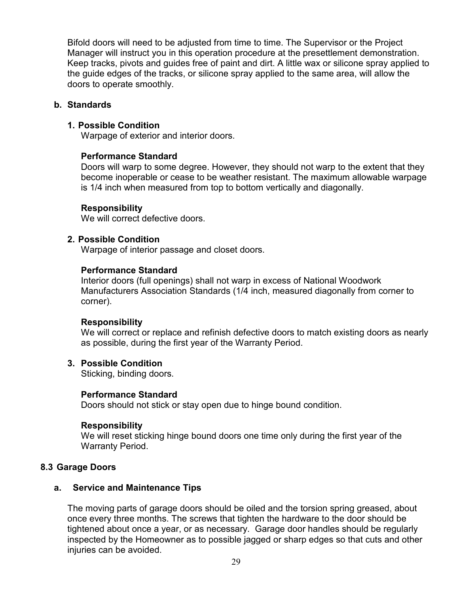Bifold doors will need to be adjusted from time to time. The Supervisor or the Project Manager will instruct you in this operation procedure at the presettlement demonstration. Keep tracks, pivots and guides free of paint and dirt. A little wax or silicone spray applied to the guide edges of the tracks, or silicone spray applied to the same area, will allow the doors to operate smoothly.

#### b. Standards

## 1. Possible Condition

Warpage of exterior and interior doors.

## Performance Standard

Doors will warp to some degree. However, they should not warp to the extent that they become inoperable or cease to be weather resistant. The maximum allowable warpage is 1/4 inch when measured from top to bottom vertically and diagonally.

## Responsibility

We will correct defective doors.

## 2. Possible Condition

Warpage of interior passage and closet doors.

## Performance Standard

Interior doors (full openings) shall not warp in excess of National Woodwork Manufacturers Association Standards (1/4 inch, measured diagonally from corner to corner).

## **Responsibility**

We will correct or replace and refinish defective doors to match existing doors as nearly as possible, during the first year of the Warranty Period.

## 3. Possible Condition

Sticking, binding doors.

## Performance Standard

Doors should not stick or stay open due to hinge bound condition.

## **Responsibility**

We will reset sticking hinge bound doors one time only during the first year of the Warranty Period.

## 8.3 Garage Doors

## a. Service and Maintenance Tips

The moving parts of garage doors should be oiled and the torsion spring greased, about once every three months. The screws that tighten the hardware to the door should be tightened about once a year, or as necessary. Garage door handles should be regularly inspected by the Homeowner as to possible jagged or sharp edges so that cuts and other iniuries can be avoided.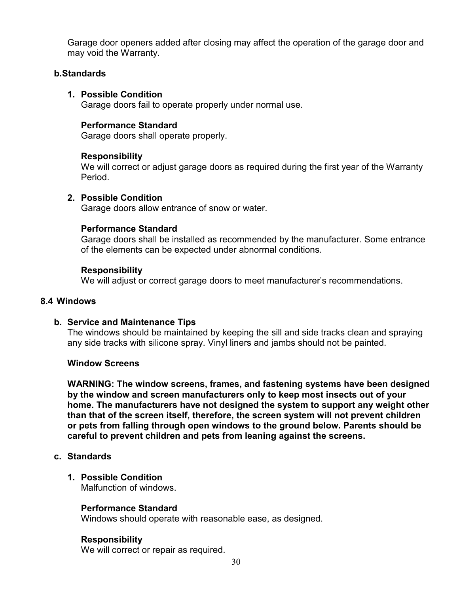Garage door openers added after closing may affect the operation of the garage door and may void the Warranty.

## b. Standards

# 1. Possible Condition

Garage doors fail to operate properly under normal use.

# Performance Standard

Garage doors shall operate properly.

## Responsibility

We will correct or adjust garage doors as required during the first year of the Warranty Period.

# 2. Possible Condition

Garage doors allow entrance of snow or water.

# Performance Standard

Garage doors shall be installed as recommended by the manufacturer. Some entrance of the elements can be expected under abnormal conditions.

## Responsibility

We will adjust or correct garage doors to meet manufacturer's recommendations.

#### 8.4 Windows

## b. Service and Maintenance Tips

The windows should be maintained by keeping the sill and side tracks clean and spraying any side tracks with silicone spray. Vinyl liners and jambs should not be painted.

## Window Screens

WARNING: The window screens, frames, and fastening systems have been designed by the window and screen manufacturers only to keep most insects out of your home. The manufacturers have not designed the system to support any weight other than that of the screen itself, therefore, the screen system will not prevent children or pets from falling through open windows to the ground below. Parents should be careful to prevent children and pets from leaning against the screens.

## c. Standards

1. Possible Condition

Malfunction of windows.

## Performance Standard

Windows should operate with reasonable ease, as designed.

## Responsibility

We will correct or repair as required.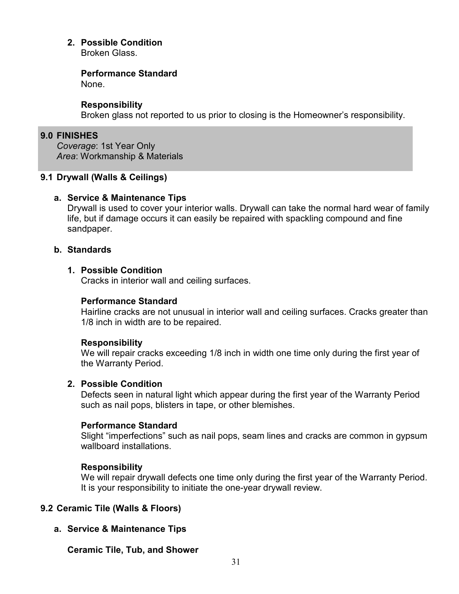# 2. Possible Condition

Broken Glass.

#### Performance Standard

None.

#### Responsibility

Broken glass not reported to us prior to closing is the Homeowner's responsibility.

# 9.0 FINISHES

Coverage: 1st Year Only Area: Workmanship & Materials

## 9.1 Drywall (Walls & Ceilings)

## a. Service & Maintenance Tips

Drywall is used to cover your interior walls. Drywall can take the normal hard wear of family life, but if damage occurs it can easily be repaired with spackling compound and fine sandpaper.

#### b. Standards

## 1. Possible Condition

Cracks in interior wall and ceiling surfaces.

## Performance Standard

Hairline cracks are not unusual in interior wall and ceiling surfaces. Cracks greater than 1/8 inch in width are to be repaired.

## Responsibility

We will repair cracks exceeding 1/8 inch in width one time only during the first year of the Warranty Period.

## 2. Possible Condition

Defects seen in natural light which appear during the first year of the Warranty Period such as nail pops, blisters in tape, or other blemishes.

## Performance Standard

Slight "imperfections" such as nail pops, seam lines and cracks are common in gypsum wallboard installations.

## Responsibility

We will repair drywall defects one time only during the first year of the Warranty Period. It is your responsibility to initiate the one-year drywall review.

## 9.2 Ceramic Tile (Walls & Floors)

## a. Service & Maintenance Tips

## Ceramic Tile, Tub, and Shower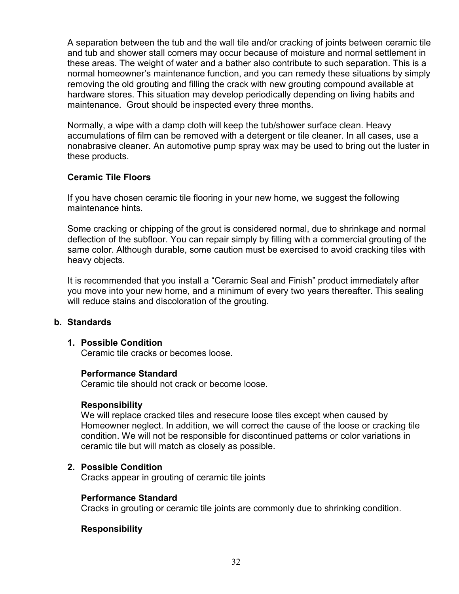A separation between the tub and the wall tile and/or cracking of joints between ceramic tile and tub and shower stall corners may occur because of moisture and normal settlement in these areas. The weight of water and a bather also contribute to such separation. This is a normal homeowner's maintenance function, and you can remedy these situations by simply removing the old grouting and filling the crack with new grouting compound available at hardware stores. This situation may develop periodically depending on living habits and maintenance. Grout should be inspected every three months.

Normally, a wipe with a damp cloth will keep the tub/shower surface clean. Heavy accumulations of film can be removed with a detergent or tile cleaner. In all cases, use a nonabrasive cleaner. An automotive pump spray wax may be used to bring out the luster in these products.

## Ceramic Tile Floors

If you have chosen ceramic tile flooring in your new home, we suggest the following maintenance hints.

Some cracking or chipping of the grout is considered normal, due to shrinkage and normal deflection of the subfloor. You can repair simply by filling with a commercial grouting of the same color. Although durable, some caution must be exercised to avoid cracking tiles with heavy objects.

It is recommended that you install a "Ceramic Seal and Finish" product immediately after you move into your new home, and a minimum of every two years thereafter. This sealing will reduce stains and discoloration of the grouting.

## b. Standards

## 1. Possible Condition

Ceramic tile cracks or becomes loose.

## Performance Standard

Ceramic tile should not crack or become loose.

## Responsibility

We will replace cracked tiles and resecure loose tiles except when caused by Homeowner neglect. In addition, we will correct the cause of the loose or cracking tile condition. We will not be responsible for discontinued patterns or color variations in ceramic tile but will match as closely as possible.

## 2. Possible Condition

Cracks appear in grouting of ceramic tile joints

## Performance Standard

Cracks in grouting or ceramic tile joints are commonly due to shrinking condition.

## Responsibility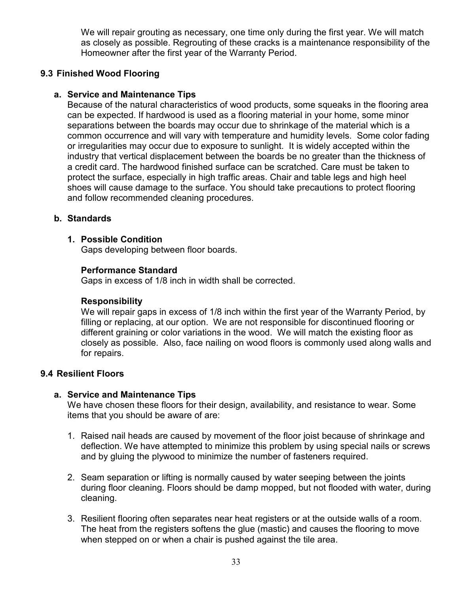We will repair grouting as necessary, one time only during the first year. We will match as closely as possible. Regrouting of these cracks is a maintenance responsibility of the Homeowner after the first year of the Warranty Period.

# 9.3 Finished Wood Flooring

# a. Service and Maintenance Tips

Because of the natural characteristics of wood products, some squeaks in the flooring area can be expected. If hardwood is used as a flooring material in your home, some minor separations between the boards may occur due to shrinkage of the material which is a common occurrence and will vary with temperature and humidity levels. Some color fading or irregularities may occur due to exposure to sunlight. It is widely accepted within the industry that vertical displacement between the boards be no greater than the thickness of a credit card. The hardwood finished surface can be scratched. Care must be taken to protect the surface, especially in high traffic areas. Chair and table legs and high heel shoes will cause damage to the surface. You should take precautions to protect flooring and follow recommended cleaning procedures.

## b. Standards

## 1. Possible Condition

Gaps developing between floor boards.

## Performance Standard

Gaps in excess of 1/8 inch in width shall be corrected.

# Responsibility

We will repair gaps in excess of 1/8 inch within the first year of the Warranty Period, by filling or replacing, at our option. We are not responsible for discontinued flooring or different graining or color variations in the wood. We will match the existing floor as closely as possible. Also, face nailing on wood floors is commonly used along walls and for repairs.

## 9.4 Resilient Floors

## a. Service and Maintenance Tips

We have chosen these floors for their design, availability, and resistance to wear. Some items that you should be aware of are:

- 1. Raised nail heads are caused by movement of the floor joist because of shrinkage and deflection. We have attempted to minimize this problem by using special nails or screws and by gluing the plywood to minimize the number of fasteners required.
- 2. Seam separation or lifting is normally caused by water seeping between the joints during floor cleaning. Floors should be damp mopped, but not flooded with water, during cleaning.
- 3. Resilient flooring often separates near heat registers or at the outside walls of a room. The heat from the registers softens the glue (mastic) and causes the flooring to move when stepped on or when a chair is pushed against the tile area.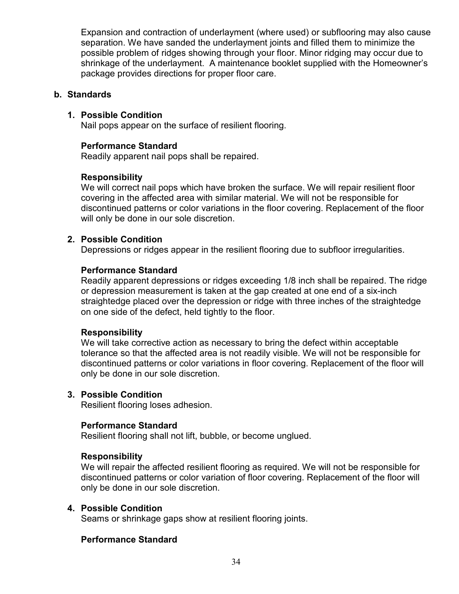Expansion and contraction of underlayment (where used) or subflooring may also cause separation. We have sanded the underlayment joints and filled them to minimize the possible problem of ridges showing through your floor. Minor ridging may occur due to shrinkage of the underlayment. A maintenance booklet supplied with the Homeowner's package provides directions for proper floor care.

#### b. Standards

# 1. Possible Condition

Nail pops appear on the surface of resilient flooring.

#### Performance Standard

Readily apparent nail pops shall be repaired.

## Responsibility

We will correct nail pops which have broken the surface. We will repair resilient floor covering in the affected area with similar material. We will not be responsible for discontinued patterns or color variations in the floor covering. Replacement of the floor will only be done in our sole discretion.

#### 2. Possible Condition

Depressions or ridges appear in the resilient flooring due to subfloor irregularities.

#### Performance Standard

Readily apparent depressions or ridges exceeding 1/8 inch shall be repaired. The ridge or depression measurement is taken at the gap created at one end of a six-inch straightedge placed over the depression or ridge with three inches of the straightedge on one side of the defect, held tightly to the floor.

#### Responsibility

We will take corrective action as necessary to bring the defect within acceptable tolerance so that the affected area is not readily visible. We will not be responsible for discontinued patterns or color variations in floor covering. Replacement of the floor will only be done in our sole discretion.

#### 3. Possible Condition

Resilient flooring loses adhesion.

#### Performance Standard

Resilient flooring shall not lift, bubble, or become unglued.

#### Responsibility

We will repair the affected resilient flooring as required. We will not be responsible for discontinued patterns or color variation of floor covering. Replacement of the floor will only be done in our sole discretion.

#### 4. Possible Condition

Seams or shrinkage gaps show at resilient flooring joints.

## Performance Standard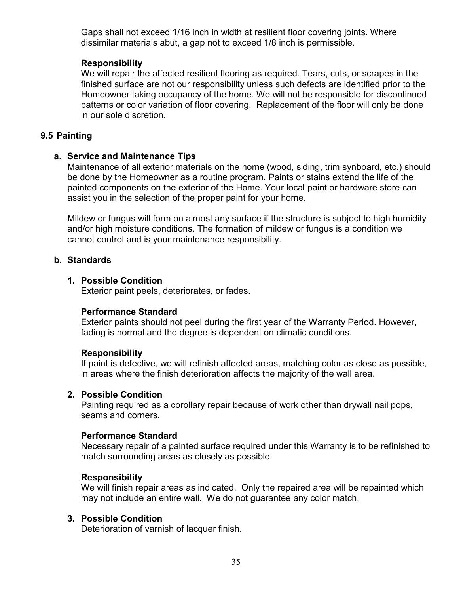Gaps shall not exceed 1/16 inch in width at resilient floor covering joints. Where dissimilar materials abut, a gap not to exceed 1/8 inch is permissible.

#### **Responsibility**

We will repair the affected resilient flooring as required. Tears, cuts, or scrapes in the finished surface are not our responsibility unless such defects are identified prior to the Homeowner taking occupancy of the home. We will not be responsible for discontinued patterns or color variation of floor covering. Replacement of the floor will only be done in our sole discretion.

## 9.5 Painting

## a. Service and Maintenance Tips

Maintenance of all exterior materials on the home (wood, siding, trim synboard, etc.) should be done by the Homeowner as a routine program. Paints or stains extend the life of the painted components on the exterior of the Home. Your local paint or hardware store can assist you in the selection of the proper paint for your home.

Mildew or fungus will form on almost any surface if the structure is subject to high humidity and/or high moisture conditions. The formation of mildew or fungus is a condition we cannot control and is your maintenance responsibility.

## b. Standards

#### 1. Possible Condition

Exterior paint peels, deteriorates, or fades.

#### Performance Standard

Exterior paints should not peel during the first year of the Warranty Period. However, fading is normal and the degree is dependent on climatic conditions.

#### Responsibility

If paint is defective, we will refinish affected areas, matching color as close as possible, in areas where the finish deterioration affects the majority of the wall area.

#### 2. Possible Condition

Painting required as a corollary repair because of work other than drywall nail pops, seams and corners.

#### Performance Standard

Necessary repair of a painted surface required under this Warranty is to be refinished to match surrounding areas as closely as possible.

#### **Responsibility**

We will finish repair areas as indicated. Only the repaired area will be repainted which may not include an entire wall. We do not guarantee any color match.

## 3. Possible Condition

Deterioration of varnish of lacquer finish.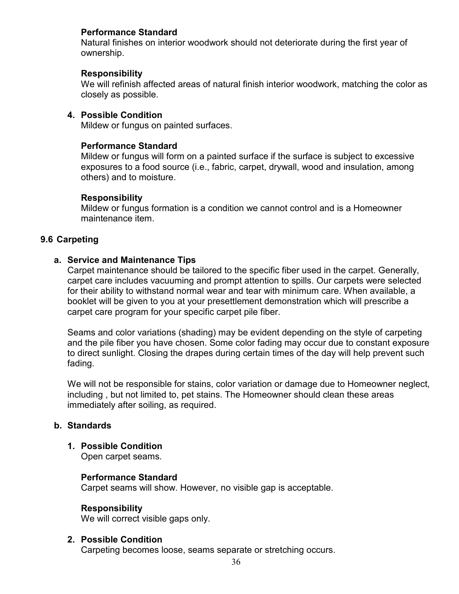# Performance Standard

Natural finishes on interior woodwork should not deteriorate during the first year of ownership.

#### Responsibility

We will refinish affected areas of natural finish interior woodwork, matching the color as closely as possible.

## 4. Possible Condition

Mildew or fungus on painted surfaces.

## Performance Standard

Mildew or fungus will form on a painted surface if the surface is subject to excessive exposures to a food source (i.e., fabric, carpet, drywall, wood and insulation, among others) and to moisture.

#### Responsibility

Mildew or fungus formation is a condition we cannot control and is a Homeowner maintenance item.

## 9.6 Carpeting

## a. Service and Maintenance Tips

Carpet maintenance should be tailored to the specific fiber used in the carpet. Generally, carpet care includes vacuuming and prompt attention to spills. Our carpets were selected for their ability to withstand normal wear and tear with minimum care. When available, a booklet will be given to you at your presettlement demonstration which will prescribe a carpet care program for your specific carpet pile fiber.

Seams and color variations (shading) may be evident depending on the style of carpeting and the pile fiber you have chosen. Some color fading may occur due to constant exposure to direct sunlight. Closing the drapes during certain times of the day will help prevent such fading.

We will not be responsible for stains, color variation or damage due to Homeowner neglect, including , but not limited to, pet stains. The Homeowner should clean these areas immediately after soiling, as required.

## b. Standards

1. Possible Condition

Open carpet seams.

## Performance Standard

Carpet seams will show. However, no visible gap is acceptable.

## Responsibility

We will correct visible gaps only.

## 2. Possible Condition

Carpeting becomes loose, seams separate or stretching occurs.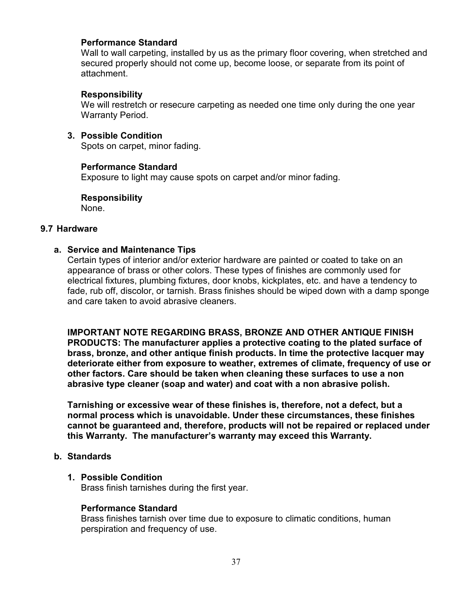## Performance Standard

Wall to wall carpeting, installed by us as the primary floor covering, when stretched and secured properly should not come up, become loose, or separate from its point of attachment.

#### Responsibility

We will restretch or resecure carpeting as needed one time only during the one year Warranty Period.

3. Possible Condition

Spots on carpet, minor fading.

#### Performance Standard

Exposure to light may cause spots on carpet and/or minor fading.

Responsibility

None.

#### 9.7 Hardware

#### a. Service and Maintenance Tips

Certain types of interior and/or exterior hardware are painted or coated to take on an appearance of brass or other colors. These types of finishes are commonly used for electrical fixtures, plumbing fixtures, door knobs, kickplates, etc. and have a tendency to fade, rub off, discolor, or tarnish. Brass finishes should be wiped down with a damp sponge and care taken to avoid abrasive cleaners.

IMPORTANT NOTE REGARDING BRASS, BRONZE AND OTHER ANTIQUE FINISH PRODUCTS: The manufacturer applies a protective coating to the plated surface of brass, bronze, and other antique finish products. In time the protective lacquer may deteriorate either from exposure to weather, extremes of climate, frequency of use or other factors. Care should be taken when cleaning these surfaces to use a non abrasive type cleaner (soap and water) and coat with a non abrasive polish.

Tarnishing or excessive wear of these finishes is, therefore, not a defect, but a normal process which is unavoidable. Under these circumstances, these finishes cannot be guaranteed and, therefore, products will not be repaired or replaced under this Warranty. The manufacturer's warranty may exceed this Warranty.

#### b. Standards

#### 1. Possible Condition

Brass finish tarnishes during the first year.

#### Performance Standard

Brass finishes tarnish over time due to exposure to climatic conditions, human perspiration and frequency of use.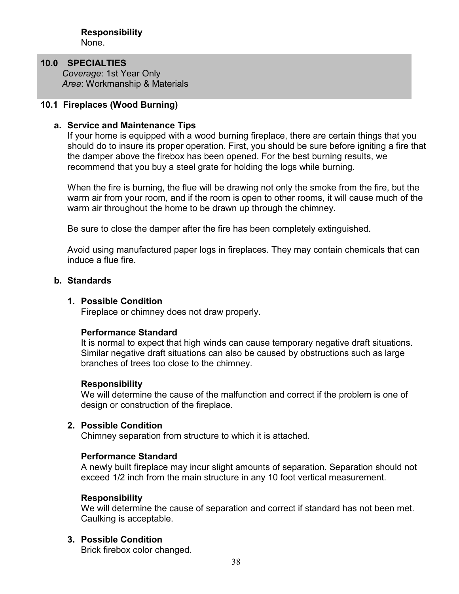# 10.0 SPECIALTIES

Coverage: 1st Year Only Area: Workmanship & Materials

# 10.1 Fireplaces (Wood Burning)

## a. Service and Maintenance Tips

If your home is equipped with a wood burning fireplace, there are certain things that you should do to insure its proper operation. First, you should be sure before igniting a fire that the damper above the firebox has been opened. For the best burning results, we recommend that you buy a steel grate for holding the logs while burning.

When the fire is burning, the flue will be drawing not only the smoke from the fire, but the warm air from your room, and if the room is open to other rooms, it will cause much of the warm air throughout the home to be drawn up through the chimney.

Be sure to close the damper after the fire has been completely extinguished.

Avoid using manufactured paper logs in fireplaces. They may contain chemicals that can induce a flue fire.

#### b. Standards

## 1. Possible Condition

Fireplace or chimney does not draw properly.

## Performance Standard

It is normal to expect that high winds can cause temporary negative draft situations. Similar negative draft situations can also be caused by obstructions such as large branches of trees too close to the chimney.

#### Responsibility

We will determine the cause of the malfunction and correct if the problem is one of design or construction of the fireplace.

#### 2. Possible Condition

Chimney separation from structure to which it is attached.

#### Performance Standard

A newly built fireplace may incur slight amounts of separation. Separation should not exceed 1/2 inch from the main structure in any 10 foot vertical measurement.

#### **Responsibility**

We will determine the cause of separation and correct if standard has not been met. Caulking is acceptable.

## 3. Possible Condition

Brick firebox color changed.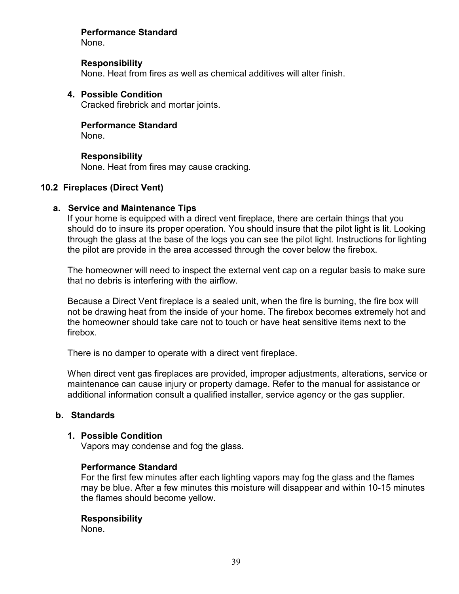# Performance Standard

None.

## **Responsibility**

None. Heat from fires as well as chemical additives will alter finish.

# 4. Possible Condition

Cracked firebrick and mortar joints.

# Performance Standard

None.

# Responsibility

None. Heat from fires may cause cracking.

# 10.2 Fireplaces (Direct Vent)

# a. Service and Maintenance Tips

If your home is equipped with a direct vent fireplace, there are certain things that you should do to insure its proper operation. You should insure that the pilot light is lit. Looking through the glass at the base of the logs you can see the pilot light. Instructions for lighting the pilot are provide in the area accessed through the cover below the firebox.

The homeowner will need to inspect the external vent cap on a regular basis to make sure that no debris is interfering with the airflow.

Because a Direct Vent fireplace is a sealed unit, when the fire is burning, the fire box will not be drawing heat from the inside of your home. The firebox becomes extremely hot and the homeowner should take care not to touch or have heat sensitive items next to the firebox.

There is no damper to operate with a direct vent fireplace.

When direct vent gas fireplaces are provided, improper adjustments, alterations, service or maintenance can cause injury or property damage. Refer to the manual for assistance or additional information consult a qualified installer, service agency or the gas supplier.

# b. Standards

## 1. Possible Condition

Vapors may condense and fog the glass.

## Performance Standard

For the first few minutes after each lighting vapors may fog the glass and the flames may be blue. After a few minutes this moisture will disappear and within 10-15 minutes the flames should become yellow.

# Responsibility

None.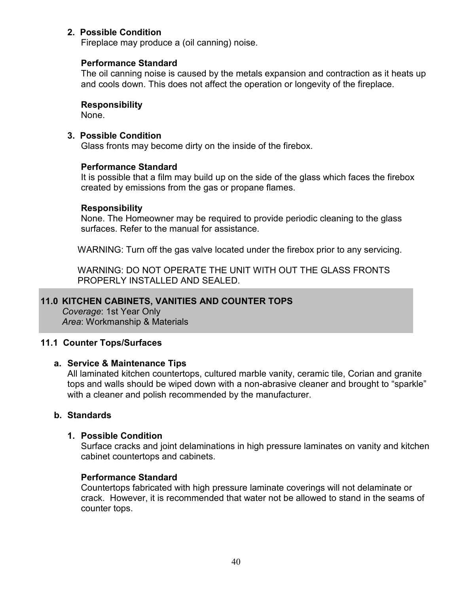# 2. Possible Condition

Fireplace may produce a (oil canning) noise.

## Performance Standard

The oil canning noise is caused by the metals expansion and contraction as it heats up and cools down. This does not affect the operation or longevity of the fireplace.

# Responsibility

None.

# 3. Possible Condition

Glass fronts may become dirty on the inside of the firebox.

# Performance Standard

It is possible that a film may build up on the side of the glass which faces the firebox created by emissions from the gas or propane flames.

## Responsibility

None. The Homeowner may be required to provide periodic cleaning to the glass surfaces. Refer to the manual for assistance.

WARNING: Turn off the gas valve located under the firebox prior to any servicing.

WARNING: DO NOT OPERATE THE UNIT WITH OUT THE GLASS FRONTS PROPERLY INSTALLED AND SEALED.

# 11.0 KITCHEN CABINETS, VANITIES AND COUNTER TOPS

Coverage: 1st Year Only Area: Workmanship & Materials

# 11.1 Counter Tops/Surfaces

## a. Service & Maintenance Tips

All laminated kitchen countertops, cultured marble vanity, ceramic tile, Corian and granite tops and walls should be wiped down with a non-abrasive cleaner and brought to "sparkle" with a cleaner and polish recommended by the manufacturer.

## b. Standards

## 1. Possible Condition

Surface cracks and joint delaminations in high pressure laminates on vanity and kitchen cabinet countertops and cabinets.

## Performance Standard

Countertops fabricated with high pressure laminate coverings will not delaminate or crack. However, it is recommended that water not be allowed to stand in the seams of counter tops.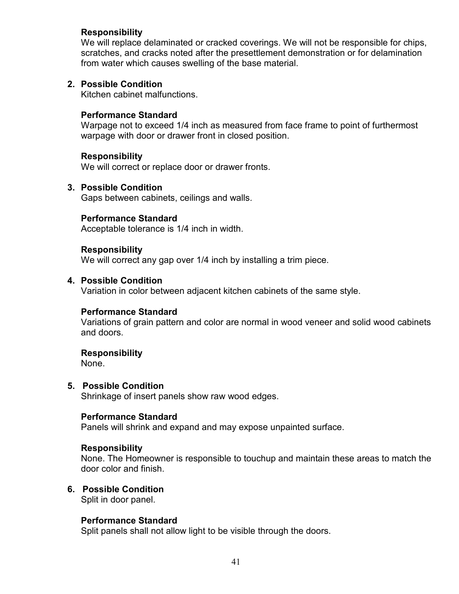## Responsibility

We will replace delaminated or cracked coverings. We will not be responsible for chips, scratches, and cracks noted after the presettlement demonstration or for delamination from water which causes swelling of the base material.

#### 2. Possible Condition

Kitchen cabinet malfunctions.

#### Performance Standard

Warpage not to exceed 1/4 inch as measured from face frame to point of furthermost warpage with door or drawer front in closed position.

#### Responsibility

We will correct or replace door or drawer fronts.

#### 3. Possible Condition

Gaps between cabinets, ceilings and walls.

#### Performance Standard

Acceptable tolerance is 1/4 inch in width.

#### Responsibility

We will correct any gap over 1/4 inch by installing a trim piece.

#### 4. Possible Condition

Variation in color between adjacent kitchen cabinets of the same style.

#### Performance Standard

Variations of grain pattern and color are normal in wood veneer and solid wood cabinets and doors.

#### Responsibility

None.

#### 5. Possible Condition

Shrinkage of insert panels show raw wood edges.

#### Performance Standard

Panels will shrink and expand and may expose unpainted surface.

#### Responsibility

None. The Homeowner is responsible to touchup and maintain these areas to match the door color and finish.

#### 6. Possible Condition

Split in door panel.

#### Performance Standard

Split panels shall not allow light to be visible through the doors.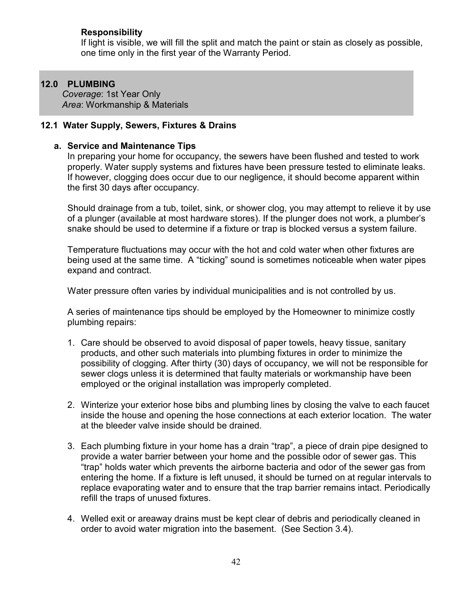# Responsibility

If light is visible, we will fill the split and match the paint or stain as closely as possible, one time only in the first year of the Warranty Period.

# 12.0 PLUMBING

Coverage: 1st Year Only Area: Workmanship & Materials

# 12.1 Water Supply, Sewers, Fixtures & Drains

## a. Service and Maintenance Tips

In preparing your home for occupancy, the sewers have been flushed and tested to work properly. Water supply systems and fixtures have been pressure tested to eliminate leaks. If however, clogging does occur due to our negligence, it should become apparent within the first 30 days after occupancy.

Should drainage from a tub, toilet, sink, or shower clog, you may attempt to relieve it by use of a plunger (available at most hardware stores). If the plunger does not work, a plumber's snake should be used to determine if a fixture or trap is blocked versus a system failure.

Temperature fluctuations may occur with the hot and cold water when other fixtures are being used at the same time. A "ticking" sound is sometimes noticeable when water pipes expand and contract.

Water pressure often varies by individual municipalities and is not controlled by us.

A series of maintenance tips should be employed by the Homeowner to minimize costly plumbing repairs:

- 1. Care should be observed to avoid disposal of paper towels, heavy tissue, sanitary products, and other such materials into plumbing fixtures in order to minimize the possibility of clogging. After thirty (30) days of occupancy, we will not be responsible for sewer clogs unless it is determined that faulty materials or workmanship have been employed or the original installation was improperly completed.
- 2. Winterize your exterior hose bibs and plumbing lines by closing the valve to each faucet inside the house and opening the hose connections at each exterior location. The water at the bleeder valve inside should be drained.
- 3. Each plumbing fixture in your home has a drain "trap", a piece of drain pipe designed to provide a water barrier between your home and the possible odor of sewer gas. This "trap" holds water which prevents the airborne bacteria and odor of the sewer gas from entering the home. If a fixture is left unused, it should be turned on at regular intervals to replace evaporating water and to ensure that the trap barrier remains intact. Periodically refill the traps of unused fixtures.
- 4. Welled exit or areaway drains must be kept clear of debris and periodically cleaned in order to avoid water migration into the basement. (See Section 3.4).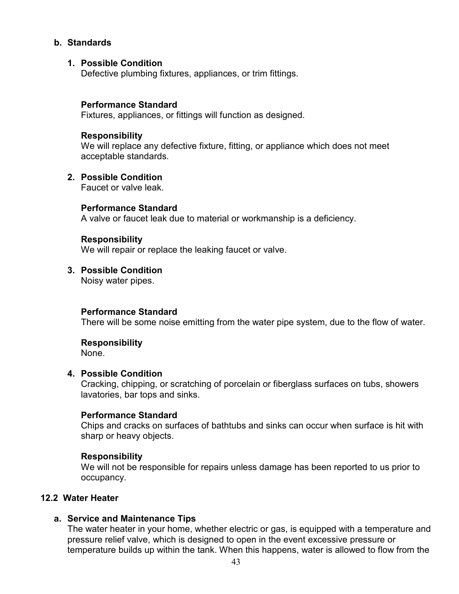## b. Standards

## 1. Possible Condition

Defective plumbing fixtures, appliances, or trim fittings.

#### Performance Standard

Fixtures, appliances, or fittings will function as designed.

#### Responsibility

We will replace any defective fixture, fitting, or appliance which does not meet acceptable standards.

#### 2. Possible Condition

Faucet or valve leak.

#### Performance Standard

A valve or faucet leak due to material or workmanship is a deficiency.

#### Responsibility

We will repair or replace the leaking faucet or valve.

## 3. Possible Condition

Noisy water pipes.

## Performance Standard

There will be some noise emitting from the water pipe system, due to the flow of water.

## Responsibility

None.

#### 4. Possible Condition

Cracking, chipping, or scratching of porcelain or fiberglass surfaces on tubs, showers lavatories, bar tops and sinks.

## Performance Standard

Chips and cracks on surfaces of bathtubs and sinks can occur when surface is hit with sharp or heavy objects.

## Responsibility

We will not be responsible for repairs unless damage has been reported to us prior to occupancy.

## 12.2 Water Heater

## a. Service and Maintenance Tips

The water heater in your home, whether electric or gas, is equipped with a temperature and pressure relief valve, which is designed to open in the event excessive pressure or temperature builds up within the tank. When this happens, water is allowed to flow from the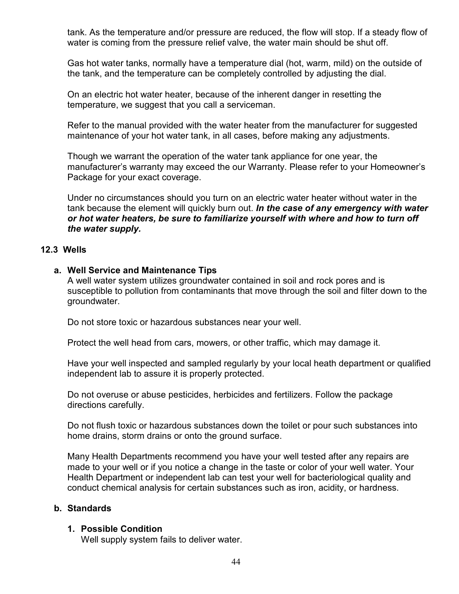tank. As the temperature and/or pressure are reduced, the flow will stop. If a steady flow of water is coming from the pressure relief valve, the water main should be shut off.

Gas hot water tanks, normally have a temperature dial (hot, warm, mild) on the outside of the tank, and the temperature can be completely controlled by adjusting the dial.

On an electric hot water heater, because of the inherent danger in resetting the temperature, we suggest that you call a serviceman.

Refer to the manual provided with the water heater from the manufacturer for suggested maintenance of your hot water tank, in all cases, before making any adjustments.

Though we warrant the operation of the water tank appliance for one year, the manufacturer's warranty may exceed the our Warranty. Please refer to your Homeowner's Package for your exact coverage.

Under no circumstances should you turn on an electric water heater without water in the tank because the element will quickly burn out. In the case of any emergency with water or hot water heaters, be sure to familiarize yourself with where and how to turn off the water supply.

## 12.3 Wells

#### a. Well Service and Maintenance Tips

A well water system utilizes groundwater contained in soil and rock pores and is susceptible to pollution from contaminants that move through the soil and filter down to the groundwater.

Do not store toxic or hazardous substances near your well.

Protect the well head from cars, mowers, or other traffic, which may damage it.

Have your well inspected and sampled regularly by your local heath department or qualified independent lab to assure it is properly protected.

Do not overuse or abuse pesticides, herbicides and fertilizers. Follow the package directions carefully.

Do not flush toxic or hazardous substances down the toilet or pour such substances into home drains, storm drains or onto the ground surface.

Many Health Departments recommend you have your well tested after any repairs are made to your well or if you notice a change in the taste or color of your well water. Your Health Department or independent lab can test your well for bacteriological quality and conduct chemical analysis for certain substances such as iron, acidity, or hardness.

## b. Standards

#### 1. Possible Condition

Well supply system fails to deliver water.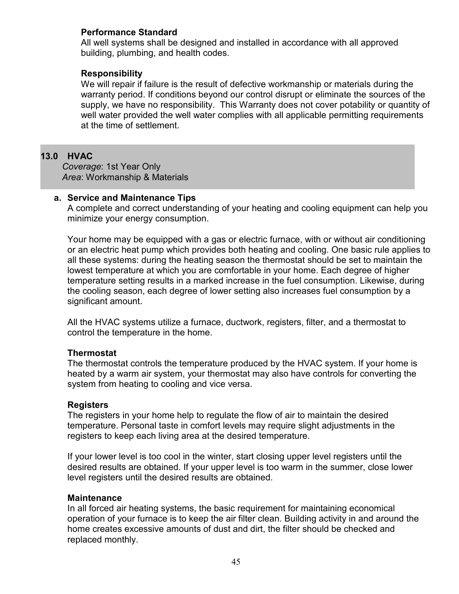# Performance Standard

All well systems shall be designed and installed in accordance with all approved building, plumbing, and health codes.

## Responsibility

We will repair if failure is the result of defective workmanship or materials during the warranty period. If conditions beyond our control disrupt or eliminate the sources of the supply, we have no responsibility. This Warranty does not cover potability or quantity of well water provided the well water complies with all applicable permitting requirements at the time of settlement.

# 13.0 HVAC

Coverage: 1st Year Only Area: Workmanship & Materials

## a. Service and Maintenance Tips

A complete and correct understanding of your heating and cooling equipment can help you minimize your energy consumption.

Your home may be equipped with a gas or electric furnace, with or without air conditioning or an electric heat pump which provides both heating and cooling. One basic rule applies to all these systems: during the heating season the thermostat should be set to maintain the lowest temperature at which you are comfortable in your home. Each degree of higher temperature setting results in a marked increase in the fuel consumption. Likewise, during the cooling season, each degree of lower setting also increases fuel consumption by a significant amount.

All the HVAC systems utilize a furnace, ductwork, registers, filter, and a thermostat to control the temperature in the home.

## **Thermostat**

The thermostat controls the temperature produced by the HVAC system. If your home is heated by a warm air system, your thermostat may also have controls for converting the system from heating to cooling and vice versa.

## **Registers**

The registers in your home help to regulate the flow of air to maintain the desired temperature. Personal taste in comfort levels may require slight adjustments in the registers to keep each living area at the desired temperature.

If your lower level is too cool in the winter, start closing upper level registers until the desired results are obtained. If your upper level is too warm in the summer, close lower level registers until the desired results are obtained.

## Maintenance

In all forced air heating systems, the basic requirement for maintaining economical operation of your furnace is to keep the air filter clean. Building activity in and around the home creates excessive amounts of dust and dirt, the filter should be checked and replaced monthly.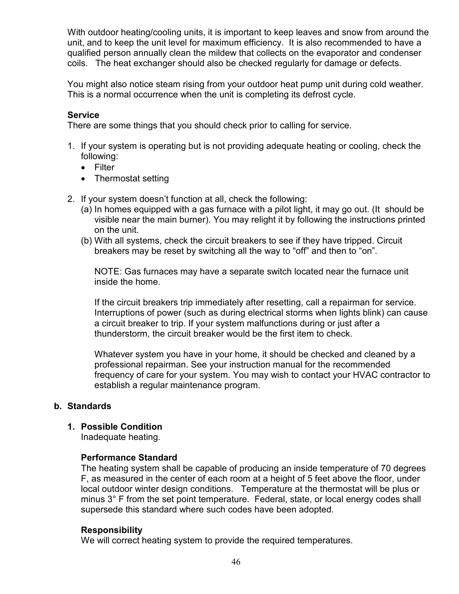With outdoor heating/cooling units, it is important to keep leaves and snow from around the unit, and to keep the unit level for maximum efficiency. It is also recommended to have a qualified person annually clean the mildew that collects on the evaporator and condenser coils. The heat exchanger should also be checked regularly for damage or defects.

You might also notice steam rising from your outdoor heat pump unit during cold weather. This is a normal occurrence when the unit is completing its defrost cycle.

# **Service**

There are some things that you should check prior to calling for service.

- 1. If your system is operating but is not providing adequate heating or cooling, check the following:
	- Filter
	- Thermostat setting
- 2. If your system doesn't function at all, check the following:
	- (a) In homes equipped with a gas furnace with a pilot light, it may go out. (It should be visible near the main burner). You may relight it by following the instructions printed on the unit.
	- (b) With all systems, check the circuit breakers to see if they have tripped. Circuit breakers may be reset by switching all the way to "off" and then to "on".

NOTE: Gas furnaces may have a separate switch located near the furnace unit inside the home.

If the circuit breakers trip immediately after resetting, call a repairman for service. Interruptions of power (such as during electrical storms when lights blink) can cause a circuit breaker to trip. If your system malfunctions during or just after a thunderstorm, the circuit breaker would be the first item to check.

Whatever system you have in your home, it should be checked and cleaned by a professional repairman. See your instruction manual for the recommended frequency of care for your system. You may wish to contact your HVAC contractor to establish a regular maintenance program.

# b. Standards

# 1. Possible Condition

Inadequate heating.

# Performance Standard

The heating system shall be capable of producing an inside temperature of 70 degrees F, as measured in the center of each room at a height of 5 feet above the floor, under local outdoor winter design conditions. Temperature at the thermostat will be plus or minus 3° F from the set point temperature. Federal, state, or local energy codes shall supersede this standard where such codes have been adopted.

# **Responsibility**

We will correct heating system to provide the required temperatures.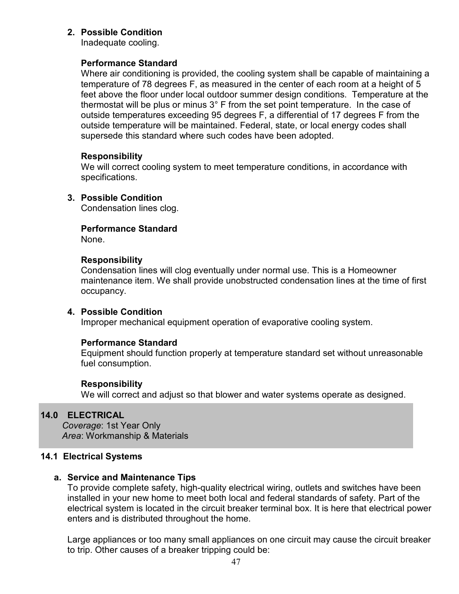## 2. Possible Condition

Inadequate cooling.

## Performance Standard

Where air conditioning is provided, the cooling system shall be capable of maintaining a temperature of 78 degrees F, as measured in the center of each room at a height of 5 feet above the floor under local outdoor summer design conditions. Temperature at the thermostat will be plus or minus 3° F from the set point temperature. In the case of outside temperatures exceeding 95 degrees F, a differential of 17 degrees F from the outside temperature will be maintained. Federal, state, or local energy codes shall supersede this standard where such codes have been adopted.

## Responsibility

We will correct cooling system to meet temperature conditions, in accordance with specifications.

# 3. Possible Condition

Condensation lines clog.

# Performance Standard

None.

## Responsibility

Condensation lines will clog eventually under normal use. This is a Homeowner maintenance item. We shall provide unobstructed condensation lines at the time of first occupancy.

## 4. Possible Condition

Improper mechanical equipment operation of evaporative cooling system.

# Performance Standard

Equipment should function properly at temperature standard set without unreasonable fuel consumption.

## Responsibility

We will correct and adjust so that blower and water systems operate as designed.

# 14.0 ELECTRICAL

Coverage: 1st Year Only Area: Workmanship & Materials

## 14.1 Electrical Systems

# a. Service and Maintenance Tips

To provide complete safety, high-quality electrical wiring, outlets and switches have been installed in your new home to meet both local and federal standards of safety. Part of the electrical system is located in the circuit breaker terminal box. It is here that electrical power enters and is distributed throughout the home.

Large appliances or too many small appliances on one circuit may cause the circuit breaker to trip. Other causes of a breaker tripping could be: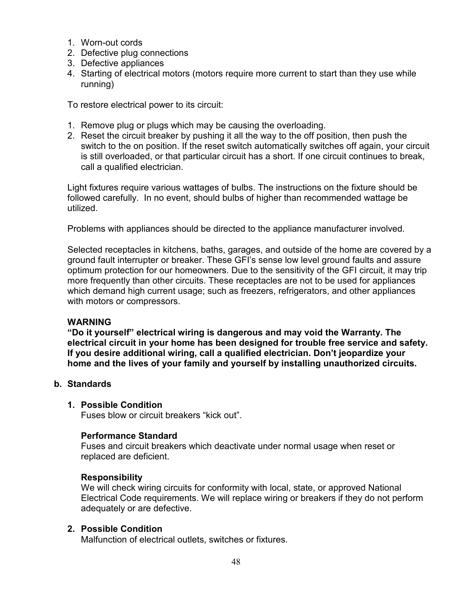- 1. Worn-out cords
- 2. Defective plug connections
- 3. Defective appliances
- 4. Starting of electrical motors (motors require more current to start than they use while running)

To restore electrical power to its circuit:

- 1. Remove plug or plugs which may be causing the overloading.
- 2. Reset the circuit breaker by pushing it all the way to the off position, then push the switch to the on position. If the reset switch automatically switches off again, your circuit is still overloaded, or that particular circuit has a short. If one circuit continues to break, call a qualified electrician.

Light fixtures require various wattages of bulbs. The instructions on the fixture should be followed carefully. In no event, should bulbs of higher than recommended wattage be utilized.

Problems with appliances should be directed to the appliance manufacturer involved.

Selected receptacles in kitchens, baths, garages, and outside of the home are covered by a ground fault interrupter or breaker. These GFI's sense low level ground faults and assure optimum protection for our homeowners. Due to the sensitivity of the GFI circuit, it may trip more frequently than other circuits. These receptacles are not to be used for appliances which demand high current usage; such as freezers, refrigerators, and other appliances with motors or compressors.

#### WARNING

"Do it yourself" electrical wiring is dangerous and may void the Warranty. The electrical circuit in your home has been designed for trouble free service and safety. If you desire additional wiring, call a qualified electrician. Don't jeopardize your home and the lives of your family and yourself by installing unauthorized circuits.

#### b. Standards

#### 1. Possible Condition

Fuses blow or circuit breakers "kick out".

#### Performance Standard

Fuses and circuit breakers which deactivate under normal usage when reset or replaced are deficient.

#### **Responsibility**

We will check wiring circuits for conformity with local, state, or approved National Electrical Code requirements. We will replace wiring or breakers if they do not perform adequately or are defective.

## 2. Possible Condition

Malfunction of electrical outlets, switches or fixtures.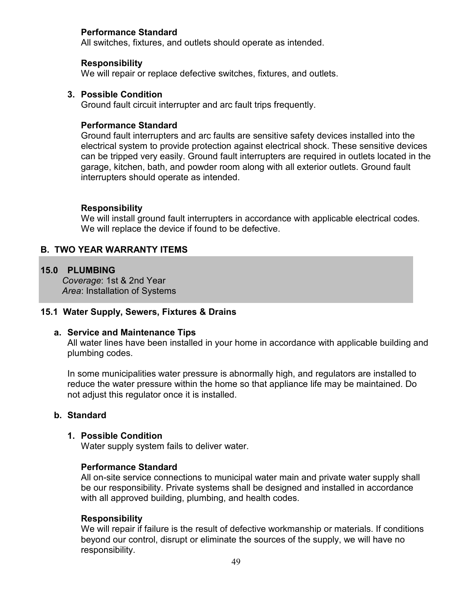## Performance Standard

All switches, fixtures, and outlets should operate as intended.

#### **Responsibility**

We will repair or replace defective switches, fixtures, and outlets.

## 3. Possible Condition

Ground fault circuit interrupter and arc fault trips frequently.

## Performance Standard

Ground fault interrupters and arc faults are sensitive safety devices installed into the electrical system to provide protection against electrical shock. These sensitive devices can be tripped very easily. Ground fault interrupters are required in outlets located in the garage, kitchen, bath, and powder room along with all exterior outlets. Ground fault interrupters should operate as intended.

## Responsibility

We will install ground fault interrupters in accordance with applicable electrical codes. We will replace the device if found to be defective.

# B. TWO YEAR WARRANTY ITEMS

## 15.0 PLUMBING

Coverage: 1st & 2nd Year Area: Installation of Systems

## 15.1 Water Supply, Sewers, Fixtures & Drains

## a. Service and Maintenance Tips

All water lines have been installed in your home in accordance with applicable building and plumbing codes.

In some municipalities water pressure is abnormally high, and regulators are installed to reduce the water pressure within the home so that appliance life may be maintained. Do not adjust this regulator once it is installed.

## b. Standard

#### 1. Possible Condition

Water supply system fails to deliver water.

#### Performance Standard

All on-site service connections to municipal water main and private water supply shall be our responsibility. Private systems shall be designed and installed in accordance with all approved building, plumbing, and health codes.

#### Responsibility

We will repair if failure is the result of defective workmanship or materials. If conditions beyond our control, disrupt or eliminate the sources of the supply, we will have no responsibility.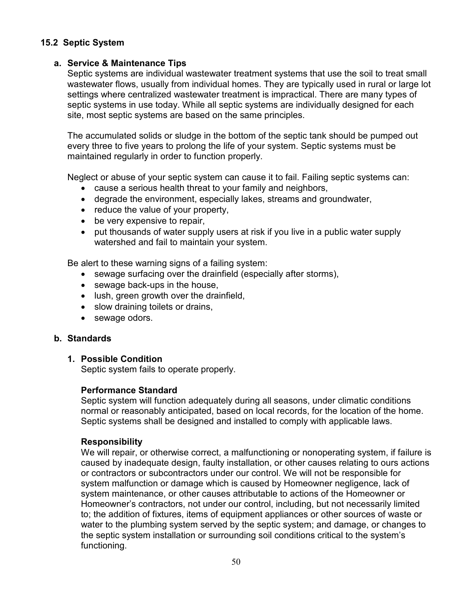# 15.2 Septic System

#### a. Service & Maintenance Tips

Septic systems are individual wastewater treatment systems that use the soil to treat small wastewater flows, usually from individual homes. They are typically used in rural or large lot settings where centralized wastewater treatment is impractical. There are many types of septic systems in use today. While all septic systems are individually designed for each site, most septic systems are based on the same principles.

The accumulated solids or sludge in the bottom of the septic tank should be pumped out every three to five years to prolong the life of your system. Septic systems must be maintained regularly in order to function properly.

Neglect or abuse of your septic system can cause it to fail. Failing septic systems can:

- cause a serious health threat to your family and neighbors,
- degrade the environment, especially lakes, streams and groundwater,
- reduce the value of your property,
- be very expensive to repair,
- put thousands of water supply users at risk if you live in a public water supply watershed and fail to maintain your system.

Be alert to these warning signs of a failing system:

- sewage surfacing over the drainfield (especially after storms),
- sewage back-ups in the house,
- lush, green growth over the drainfield,
- slow draining toilets or drains,
- sewage odors.

## b. Standards

## 1. Possible Condition

Septic system fails to operate properly.

## Performance Standard

Septic system will function adequately during all seasons, under climatic conditions normal or reasonably anticipated, based on local records, for the location of the home. Septic systems shall be designed and installed to comply with applicable laws.

## Responsibility

We will repair, or otherwise correct, a malfunctioning or nonoperating system, if failure is caused by inadequate design, faulty installation, or other causes relating to ours actions or contractors or subcontractors under our control. We will not be responsible for system malfunction or damage which is caused by Homeowner negligence, lack of system maintenance, or other causes attributable to actions of the Homeowner or Homeowner's contractors, not under our control, including, but not necessarily limited to; the addition of fixtures, items of equipment appliances or other sources of waste or water to the plumbing system served by the septic system; and damage, or changes to the septic system installation or surrounding soil conditions critical to the system's functioning.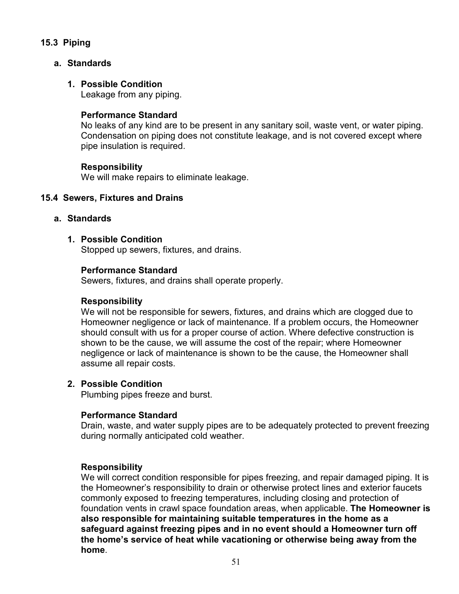# 15.3 Piping

# a. Standards

# 1. Possible Condition

Leakage from any piping.

# Performance Standard

No leaks of any kind are to be present in any sanitary soil, waste vent, or water piping. Condensation on piping does not constitute leakage, and is not covered except where pipe insulation is required.

## Responsibility

We will make repairs to eliminate leakage.

## 15.4 Sewers, Fixtures and Drains

## a. Standards

## 1. Possible Condition

Stopped up sewers, fixtures, and drains.

## Performance Standard

Sewers, fixtures, and drains shall operate properly.

## Responsibility

We will not be responsible for sewers, fixtures, and drains which are clogged due to Homeowner negligence or lack of maintenance. If a problem occurs, the Homeowner should consult with us for a proper course of action. Where defective construction is shown to be the cause, we will assume the cost of the repair; where Homeowner negligence or lack of maintenance is shown to be the cause, the Homeowner shall assume all repair costs.

## 2. Possible Condition

Plumbing pipes freeze and burst.

## Performance Standard

Drain, waste, and water supply pipes are to be adequately protected to prevent freezing during normally anticipated cold weather.

## Responsibility

We will correct condition responsible for pipes freezing, and repair damaged piping. It is the Homeowner's responsibility to drain or otherwise protect lines and exterior faucets commonly exposed to freezing temperatures, including closing and protection of foundation vents in crawl space foundation areas, when applicable. The Homeowner is also responsible for maintaining suitable temperatures in the home as a safeguard against freezing pipes and in no event should a Homeowner turn off the home's service of heat while vacationing or otherwise being away from the home.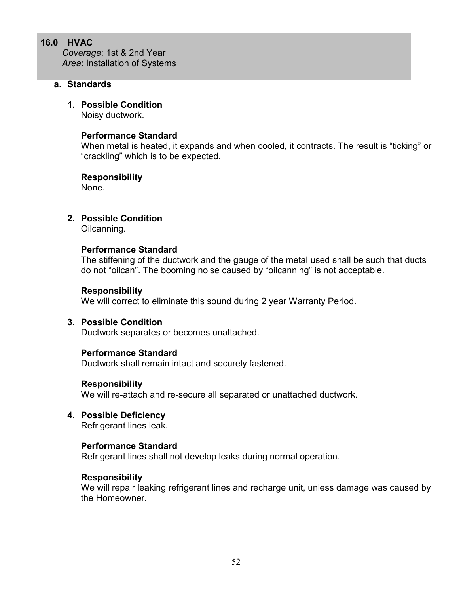## 16.0 HVAC

Coverage: 1st & 2nd Year Area: Installation of Systems

# a. Standards

## 1. Possible Condition

Noisy ductwork.

#### Performance Standard

When metal is heated, it expands and when cooled, it contracts. The result is "ticking" or "crackling" which is to be expected.

#### Responsibility

None.

## 2. Possible Condition

Oilcanning.

#### Performance Standard

The stiffening of the ductwork and the gauge of the metal used shall be such that ducts do not "oilcan". The booming noise caused by "oilcanning" is not acceptable.

#### Responsibility

We will correct to eliminate this sound during 2 year Warranty Period.

## 3. Possible Condition

Ductwork separates or becomes unattached.

#### Performance Standard

Ductwork shall remain intact and securely fastened.

#### Responsibility

We will re-attach and re-secure all separated or unattached ductwork.

4. Possible Deficiency Refrigerant lines leak.

#### Performance Standard

Refrigerant lines shall not develop leaks during normal operation.

#### Responsibility

We will repair leaking refrigerant lines and recharge unit, unless damage was caused by the Homeowner.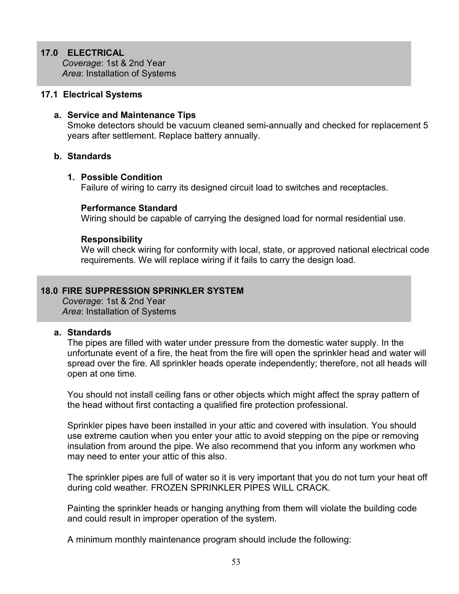# 17.0 ELECTRICAL

Coverage: 1st & 2nd Year Area: Installation of Systems

#### 17.1 Electrical Systems

#### a. Service and Maintenance Tips

Smoke detectors should be vacuum cleaned semi-annually and checked for replacement 5 years after settlement. Replace battery annually.

#### b. Standards

#### 1. Possible Condition

Failure of wiring to carry its designed circuit load to switches and receptacles.

#### Performance Standard

Wiring should be capable of carrying the designed load for normal residential use.

#### Responsibility

We will check wiring for conformity with local, state, or approved national electrical code requirements. We will replace wiring if it fails to carry the design load.

## 18.0 FIRE SUPPRESSION SPRINKLER SYSTEM

Coverage: 1st & 2nd Year Area: Installation of Systems

#### a. Standards

The pipes are filled with water under pressure from the domestic water supply. In the unfortunate event of a fire, the heat from the fire will open the sprinkler head and water will spread over the fire. All sprinkler heads operate independently; therefore, not all heads will open at one time.

You should not install ceiling fans or other objects which might affect the spray pattern of the head without first contacting a qualified fire protection professional.

Sprinkler pipes have been installed in your attic and covered with insulation. You should use extreme caution when you enter your attic to avoid stepping on the pipe or removing insulation from around the pipe. We also recommend that you inform any workmen who may need to enter your attic of this also.

The sprinkler pipes are full of water so it is very important that you do not turn your heat off during cold weather. FROZEN SPRINKLER PIPES WILL CRACK.

Painting the sprinkler heads or hanging anything from them will violate the building code and could result in improper operation of the system.

A minimum monthly maintenance program should include the following: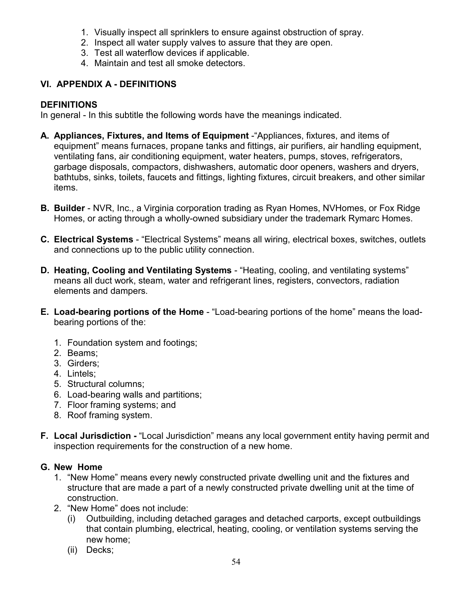- 1. Visually inspect all sprinklers to ensure against obstruction of spray.
- 2. Inspect all water supply valves to assure that they are open.
- 3. Test all waterflow devices if applicable.
- 4. Maintain and test all smoke detectors.

# VI. APPENDIX A - DEFINITIONS

# DEFINITIONS

In general - In this subtitle the following words have the meanings indicated.

- A. Appliances, Fixtures, and Items of Equipment -"Appliances, fixtures, and items of equipment" means furnaces, propane tanks and fittings, air purifiers, air handling equipment, ventilating fans, air conditioning equipment, water heaters, pumps, stoves, refrigerators, garbage disposals, compactors, dishwashers, automatic door openers, washers and dryers, bathtubs, sinks, toilets, faucets and fittings, lighting fixtures, circuit breakers, and other similar items.
- B. Builder NVR, Inc., a Virginia corporation trading as Ryan Homes, NVHomes, or Fox Ridge Homes, or acting through a wholly-owned subsidiary under the trademark Rymarc Homes.
- C. Electrical Systems "Electrical Systems" means all wiring, electrical boxes, switches, outlets and connections up to the public utility connection.
- D. Heating, Cooling and Ventilating Systems "Heating, cooling, and ventilating systems" means all duct work, steam, water and refrigerant lines, registers, convectors, radiation elements and dampers.
- E. Load-bearing portions of the Home "Load-bearing portions of the home" means the loadbearing portions of the:
	- 1. Foundation system and footings;
	- 2. Beams;
	- 3. Girders;
	- 4. Lintels;
	- 5. Structural columns;
	- 6. Load-bearing walls and partitions;
	- 7. Floor framing systems; and
	- 8. Roof framing system.
- F. Local Jurisdiction "Local Jurisdiction" means any local government entity having permit and inspection requirements for the construction of a new home.

# G. New Home

- 1. "New Home" means every newly constructed private dwelling unit and the fixtures and structure that are made a part of a newly constructed private dwelling unit at the time of construction.
- 2. "New Home" does not include:
	- (i) Outbuilding, including detached garages and detached carports, except outbuildings that contain plumbing, electrical, heating, cooling, or ventilation systems serving the new home;
	- (ii) Decks;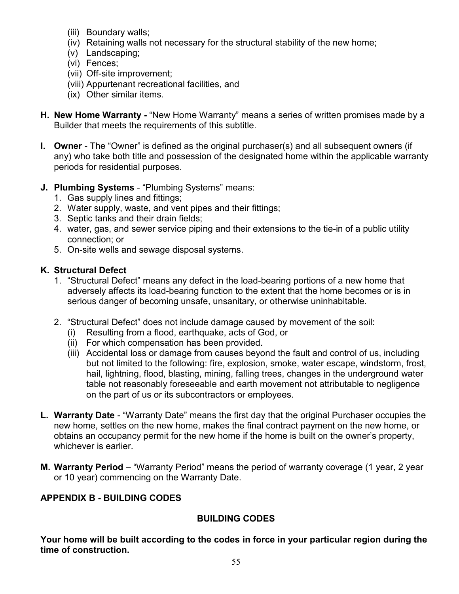- (iii) Boundary walls;
- (iv) Retaining walls not necessary for the structural stability of the new home;
- (v) Landscaping;
- (vi) Fences;
- (vii) Off-site improvement;
- (viii) Appurtenant recreational facilities, and
- (ix) Other similar items.
- H. New Home Warranty "New Home Warranty" means a series of written promises made by a Builder that meets the requirements of this subtitle.
- I. Owner The "Owner" is defined as the original purchaser(s) and all subsequent owners (if any) who take both title and possession of the designated home within the applicable warranty periods for residential purposes.
- J. Plumbing Systems "Plumbing Systems" means:
	- 1. Gas supply lines and fittings;
	- 2. Water supply, waste, and vent pipes and their fittings;
	- 3. Septic tanks and their drain fields;
	- 4. water, gas, and sewer service piping and their extensions to the tie-in of a public utility connection; or
	- 5. On-site wells and sewage disposal systems.

# K. Structural Defect

- 1. "Structural Defect" means any defect in the load-bearing portions of a new home that adversely affects its load-bearing function to the extent that the home becomes or is in serious danger of becoming unsafe, unsanitary, or otherwise uninhabitable.
- 2. "Structural Defect" does not include damage caused by movement of the soil:
	- (i) Resulting from a flood, earthquake, acts of God, or
	- (ii) For which compensation has been provided.
	- (iii) Accidental loss or damage from causes beyond the fault and control of us, including but not limited to the following: fire, explosion, smoke, water escape, windstorm, frost, hail, lightning, flood, blasting, mining, falling trees, changes in the underground water table not reasonably foreseeable and earth movement not attributable to negligence on the part of us or its subcontractors or employees.
- L. Warranty Date "Warranty Date" means the first day that the original Purchaser occupies the new home, settles on the new home, makes the final contract payment on the new home, or obtains an occupancy permit for the new home if the home is built on the owner's property, whichever is earlier.
- M. Warranty Period "Warranty Period" means the period of warranty coverage (1 year, 2 year or 10 year) commencing on the Warranty Date.

# APPENDIX B - BUILDING CODES

# BUILDING CODES

Your home will be built according to the codes in force in your particular region during the time of construction.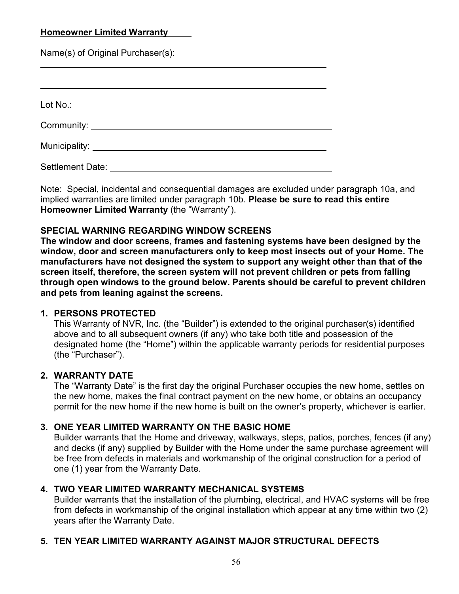# Homeowner Limited Warranty

Name(s) of Original Purchaser(s):

 $\overline{a}$ 

 $\overline{a}$ 

| Lot No.: ________________________________    |  |  |
|----------------------------------------------|--|--|
|                                              |  |  |
| Municipality: ______________________________ |  |  |
| Settlement Date:                             |  |  |

Note: Special, incidental and consequential damages are excluded under paragraph 10a, and implied warranties are limited under paragraph 10b. Please be sure to read this entire Homeowner Limited Warranty (the "Warranty").

# SPECIAL WARNING REGARDING WINDOW SCREENS

The window and door screens, frames and fastening systems have been designed by the window, door and screen manufacturers only to keep most insects out of your Home. The manufacturers have not designed the system to support any weight other than that of the screen itself, therefore, the screen system will not prevent children or pets from falling through open windows to the ground below. Parents should be careful to prevent children and pets from leaning against the screens.

# 1. PERSONS PROTECTED

This Warranty of NVR, Inc. (the "Builder") is extended to the original purchaser(s) identified above and to all subsequent owners (if any) who take both title and possession of the designated home (the "Home") within the applicable warranty periods for residential purposes (the "Purchaser").

# 2. WARRANTY DATE

The "Warranty Date" is the first day the original Purchaser occupies the new home, settles on the new home, makes the final contract payment on the new home, or obtains an occupancy permit for the new home if the new home is built on the owner's property, whichever is earlier.

# 3. ONE YEAR LIMITED WARRANTY ON THE BASIC HOME

Builder warrants that the Home and driveway, walkways, steps, patios, porches, fences (if any) and decks (if any) supplied by Builder with the Home under the same purchase agreement will be free from defects in materials and workmanship of the original construction for a period of one (1) year from the Warranty Date.

# 4. TWO YEAR LIMITED WARRANTY MECHANICAL SYSTEMS

Builder warrants that the installation of the plumbing, electrical, and HVAC systems will be free from defects in workmanship of the original installation which appear at any time within two (2) years after the Warranty Date.

# 5. TEN YEAR LIMITED WARRANTY AGAINST MAJOR STRUCTURAL DEFECTS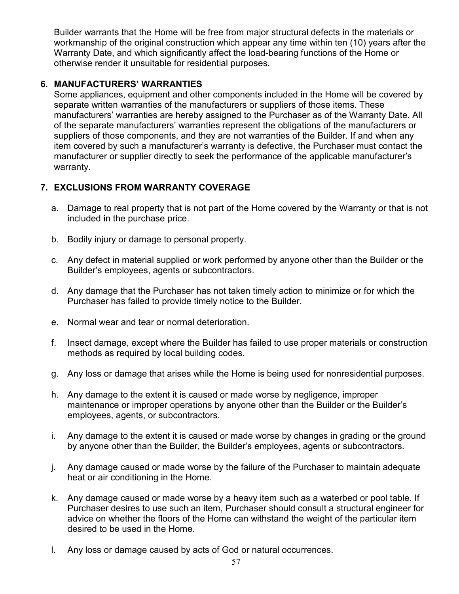Builder warrants that the Home will be free from major structural defects in the materials or workmanship of the original construction which appear any time within ten (10) years after the Warranty Date, and which significantly affect the load-bearing functions of the Home or otherwise render it unsuitable for residential purposes.

# 6. MANUFACTURERS' WARRANTIES

Some appliances, equipment and other components included in the Home will be covered by separate written warranties of the manufacturers or suppliers of those items. These manufacturers' warranties are hereby assigned to the Purchaser as of the Warranty Date. All of the separate manufacturers' warranties represent the obligations of the manufacturers or suppliers of those components, and they are not warranties of the Builder. If and when any item covered by such a manufacturer's warranty is defective, the Purchaser must contact the manufacturer or supplier directly to seek the performance of the applicable manufacturer's warranty.

# 7. EXCLUSIONS FROM WARRANTY COVERAGE

- a. Damage to real property that is not part of the Home covered by the Warranty or that is not included in the purchase price.
- b. Bodily injury or damage to personal property.
- c. Any defect in material supplied or work performed by anyone other than the Builder or the Builder's employees, agents or subcontractors.
- d. Any damage that the Purchaser has not taken timely action to minimize or for which the Purchaser has failed to provide timely notice to the Builder.
- e. Normal wear and tear or normal deterioration.
- f. Insect damage, except where the Builder has failed to use proper materials or construction methods as required by local building codes.
- g. Any loss or damage that arises while the Home is being used for nonresidential purposes.
- h. Any damage to the extent it is caused or made worse by negligence, improper maintenance or improper operations by anyone other than the Builder or the Builder's employees, agents, or subcontractors.
- i. Any damage to the extent it is caused or made worse by changes in grading or the ground by anyone other than the Builder, the Builder's employees, agents or subcontractors.
- j. Any damage caused or made worse by the failure of the Purchaser to maintain adequate heat or air conditioning in the Home.
- k. Any damage caused or made worse by a heavy item such as a waterbed or pool table. If Purchaser desires to use such an item, Purchaser should consult a structural engineer for advice on whether the floors of the Home can withstand the weight of the particular item desired to be used in the Home.
- l. Any loss or damage caused by acts of God or natural occurrences.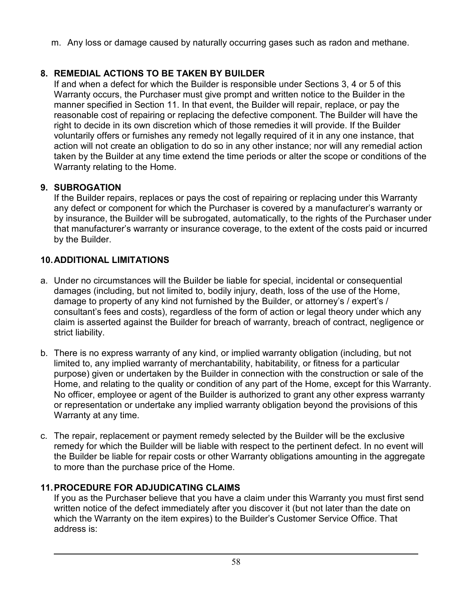m. Any loss or damage caused by naturally occurring gases such as radon and methane.

# 8. REMEDIAL ACTIONS TO BE TAKEN BY BUILDER

If and when a defect for which the Builder is responsible under Sections 3, 4 or 5 of this Warranty occurs, the Purchaser must give prompt and written notice to the Builder in the manner specified in Section 11. In that event, the Builder will repair, replace, or pay the reasonable cost of repairing or replacing the defective component. The Builder will have the right to decide in its own discretion which of those remedies it will provide. If the Builder voluntarily offers or furnishes any remedy not legally required of it in any one instance, that action will not create an obligation to do so in any other instance; nor will any remedial action taken by the Builder at any time extend the time periods or alter the scope or conditions of the Warranty relating to the Home.

# 9. SUBROGATION

If the Builder repairs, replaces or pays the cost of repairing or replacing under this Warranty any defect or component for which the Purchaser is covered by a manufacturer's warranty or by insurance, the Builder will be subrogated, automatically, to the rights of the Purchaser under that manufacturer's warranty or insurance coverage, to the extent of the costs paid or incurred by the Builder.

# 10. ADDITIONAL LIMITATIONS

- a. Under no circumstances will the Builder be liable for special, incidental or consequential damages (including, but not limited to, bodily injury, death, loss of the use of the Home, damage to property of any kind not furnished by the Builder, or attorney's / expert's / consultant's fees and costs), regardless of the form of action or legal theory under which any claim is asserted against the Builder for breach of warranty, breach of contract, negligence or strict liability.
- b. There is no express warranty of any kind, or implied warranty obligation (including, but not limited to, any implied warranty of merchantability, habitability, or fitness for a particular purpose) given or undertaken by the Builder in connection with the construction or sale of the Home, and relating to the quality or condition of any part of the Home, except for this Warranty. No officer, employee or agent of the Builder is authorized to grant any other express warranty or representation or undertake any implied warranty obligation beyond the provisions of this Warranty at any time.
- c. The repair, replacement or payment remedy selected by the Builder will be the exclusive remedy for which the Builder will be liable with respect to the pertinent defect. In no event will the Builder be liable for repair costs or other Warranty obligations amounting in the aggregate to more than the purchase price of the Home.

# 11. PROCEDURE FOR ADJUDICATING CLAIMS

If you as the Purchaser believe that you have a claim under this Warranty you must first send written notice of the defect immediately after you discover it (but not later than the date on which the Warranty on the item expires) to the Builder's Customer Service Office. That address is: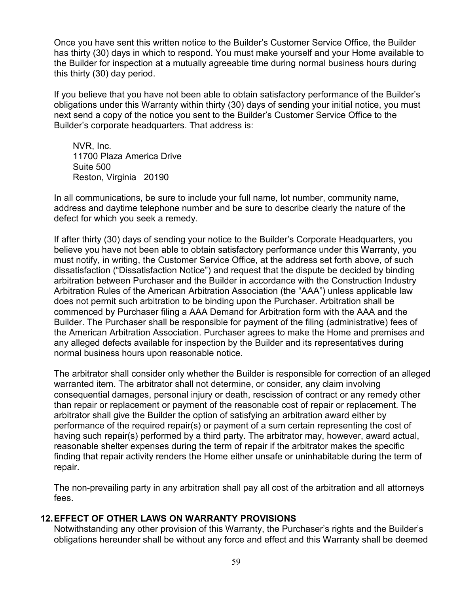Once you have sent this written notice to the Builder's Customer Service Office, the Builder has thirty (30) days in which to respond. You must make yourself and your Home available to the Builder for inspection at a mutually agreeable time during normal business hours during this thirty (30) day period.

If you believe that you have not been able to obtain satisfactory performance of the Builder's obligations under this Warranty within thirty (30) days of sending your initial notice, you must next send a copy of the notice you sent to the Builder's Customer Service Office to the Builder's corporate headquarters. That address is:

NVR, Inc. 11700 Plaza America Drive Suite 500 Reston, Virginia 20190

In all communications, be sure to include your full name, lot number, community name, address and daytime telephone number and be sure to describe clearly the nature of the defect for which you seek a remedy.

If after thirty (30) days of sending your notice to the Builder's Corporate Headquarters, you believe you have not been able to obtain satisfactory performance under this Warranty, you must notify, in writing, the Customer Service Office, at the address set forth above, of such dissatisfaction ("Dissatisfaction Notice") and request that the dispute be decided by binding arbitration between Purchaser and the Builder in accordance with the Construction Industry Arbitration Rules of the American Arbitration Association (the "AAA") unless applicable law does not permit such arbitration to be binding upon the Purchaser. Arbitration shall be commenced by Purchaser filing a AAA Demand for Arbitration form with the AAA and the Builder. The Purchaser shall be responsible for payment of the filing (administrative) fees of the American Arbitration Association. Purchaser agrees to make the Home and premises and any alleged defects available for inspection by the Builder and its representatives during normal business hours upon reasonable notice.

The arbitrator shall consider only whether the Builder is responsible for correction of an alleged warranted item. The arbitrator shall not determine, or consider, any claim involving consequential damages, personal injury or death, rescission of contract or any remedy other than repair or replacement or payment of the reasonable cost of repair or replacement. The arbitrator shall give the Builder the option of satisfying an arbitration award either by performance of the required repair(s) or payment of a sum certain representing the cost of having such repair(s) performed by a third party. The arbitrator may, however, award actual, reasonable shelter expenses during the term of repair if the arbitrator makes the specific finding that repair activity renders the Home either unsafe or uninhabitable during the term of repair.

The non-prevailing party in any arbitration shall pay all cost of the arbitration and all attorneys fees.

# 12. EFFECT OF OTHER LAWS ON WARRANTY PROVISIONS

Notwithstanding any other provision of this Warranty, the Purchaser's rights and the Builder's obligations hereunder shall be without any force and effect and this Warranty shall be deemed